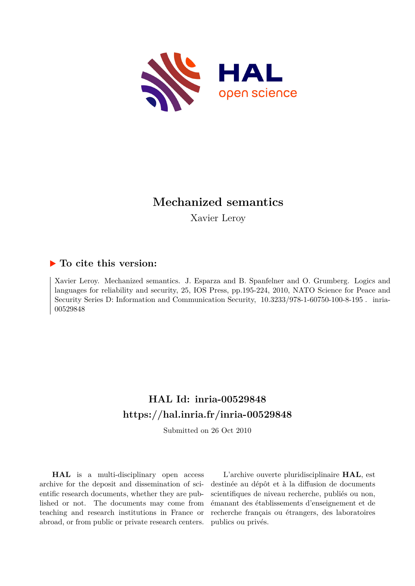

# **Mechanized semantics**

Xavier Leroy

# **To cite this version:**

Xavier Leroy. Mechanized semantics. J. Esparza and B. Spanfelner and O. Grumberg. Logics and languages for reliability and security, 25, IOS Press, pp.195-224, 2010, NATO Science for Peace and Security Series D: Information and Communication Security,  $10.3233/978-1-60750-100-8-195$ . inria-00529848

# **HAL Id: inria-00529848 <https://hal.inria.fr/inria-00529848>**

Submitted on 26 Oct 2010

**HAL** is a multi-disciplinary open access archive for the deposit and dissemination of scientific research documents, whether they are published or not. The documents may come from teaching and research institutions in France or abroad, or from public or private research centers.

L'archive ouverte pluridisciplinaire **HAL**, est destinée au dépôt et à la diffusion de documents scientifiques de niveau recherche, publiés ou non, émanant des établissements d'enseignement et de recherche français ou étrangers, des laboratoires publics ou privés.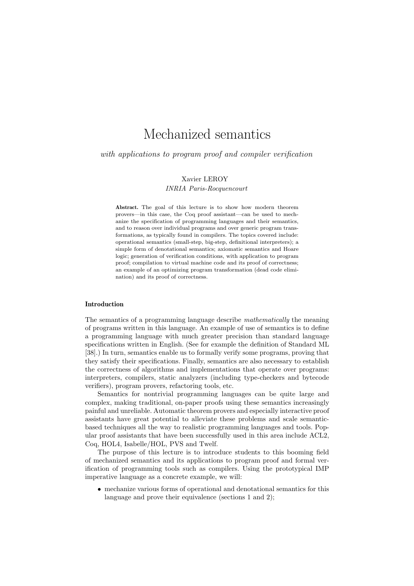# Mechanized semantics

with applications to program proof and compiler verification

# Xavier LEROY *INRIA Paris-Rocquencourt*

Abstract. The goal of this lecture is to show how modern theorem provers—in this case, the Coq proof assistant—can be used to mechanize the specification of programming languages and their semantics, and to reason over individual programs and over generic program transformations, as typically found in compilers. The topics covered include: operational semantics (small-step, big-step, definitional interpreters); a simple form of denotational semantics; axiomatic semantics and Hoare logic; generation of verification conditions, with application to program proof; compilation to virtual machine code and its proof of correctness; an example of an optimizing program transformation (dead code elimination) and its proof of correctness.

#### Introduction

The semantics of a programming language describe *mathematically* the meaning of programs written in this language. An example of use of semantics is to define a programming language with much greater precision than standard language specifications written in English. (See for example the definition of Standard ML [38].) In turn, semantics enable us to formally verify some programs, proving that they satisfy their specifications. Finally, semantics are also necessary to establish the correctness of algorithms and implementations that operate over programs: interpreters, compilers, static analyzers (including type-checkers and bytecode verifiers), program provers, refactoring tools, etc.

Semantics for nontrivial programming languages can be quite large and complex, making traditional, on-paper proofs using these semantics increasingly painful and unreliable. Automatic theorem provers and especially interactive proof assistants have great potential to alleviate these problems and scale semanticbased techniques all the way to realistic programming languages and tools. Popular proof assistants that have been successfully used in this area include ACL2, Coq, HOL4, Isabelle/HOL, PVS and Twelf.

The purpose of this lecture is to introduce students to this booming field of mechanized semantics and its applications to program proof and formal verification of programming tools such as compilers. Using the prototypical IMP imperative language as a concrete example, we will:

• mechanize various forms of operational and denotational semantics for this language and prove their equivalence (sections 1 and 2);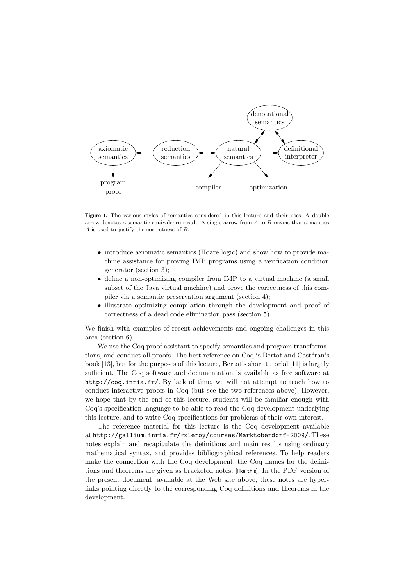

Figure 1. The various styles of semantics considered in this lecture and their uses. A double arrow denotes a semantic equivalence result. A single arrow from  $A$  to  $B$  means that semantics A is used to justify the correctness of B.

- introduce axiomatic semantics (Hoare logic) and show how to provide machine assistance for proving IMP programs using a verification condition generator (section 3);
- define a non-optimizing compiler from IMP to a virtual machine (a small subset of the Java virtual machine) and prove the correctness of this compiler via a semantic preservation argument (section 4);
- illustrate optimizing compilation through the development and proof of correctness of a dead code elimination pass (section 5).

We finish with examples of recent achievements and ongoing challenges in this area (section 6).

We use the Coq proof assistant to specify semantics and program transformations, and conduct all proofs. The best reference on Coq is Bertot and Castéran's book [13], but for the purposes of this lecture, Bertot's short tutorial [11] is largely sufficient. The Coq software and documentation is available as free software at http://coq.inria.fr/. By lack of time, we will not attempt to teach how to conduct interactive proofs in Coq (but see the two references above). However, we hope that by the end of this lecture, students will be familiar enough with Coq's specification language to be able to read the Coq development underlying this lecture, and to write Coq specifications for problems of their own interest.

The reference material for this lecture is the Coq development available at http://gallium.inria.fr/~xleroy/courses/Marktoberdorf-2009/. These notes explain and recapitulate the definitions and main results using ordinary mathematical syntax, and provides bibliographical references. To help readers make the connection with the Coq development, the Coq names for the definitions and theorems are given as bracketed notes, [like this]. In the PDF version of the present document, available at the Web site above, these notes are hyperlinks pointing directly to the corresponding Coq definitions and theorems in the development.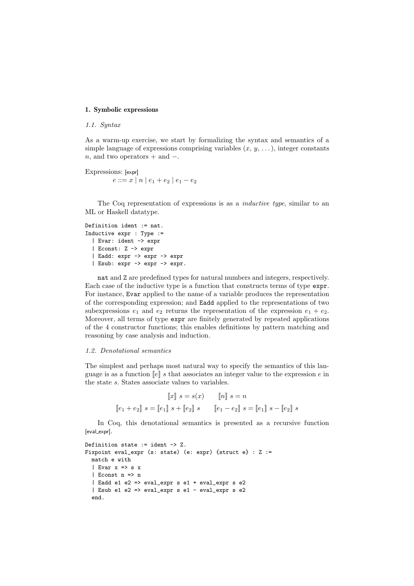# 1. Symbolic expressions

# *1.1. Syntax*

As a warm-up exercise, we start by formalizing the syntax and semantics of a simple language of expressions comprising variables  $(x, y, \ldots)$ , integer constants n, and two operators + and  $-$ .

Expressions: [expr]  $e ::= x \mid n \mid e_1 + e_2 \mid e_1 - e_2$ 

The Coq representation of expressions is as a *inductive type*, similar to an ML or Haskell datatype.

```
Definition ident := nat.
Inductive expr : Type :=
  | Evar: ident -> expr
  | Econst: Z -> expr
  | Eadd: expr -> expr -> expr
  | Esub: expr -> expr -> expr.
```
nat and Z are predefined types for natural numbers and integers, respectively. Each case of the inductive type is a function that constructs terms of type expr. For instance, Evar applied to the name of a variable produces the representation of the corresponding expression; and Eadd applied to the representations of two subexpressions  $e_1$  and  $e_2$  returns the representation of the expression  $e_1 + e_2$ . Moreover, all terms of type expr are finitely generated by repeated applications of the 4 constructor functions; this enables definitions by pattern matching and reasoning by case analysis and induction.

#### *1.2. Denotational semantics*

The simplest and perhaps most natural way to specify the semantics of this language is as a function  $\llbracket e \rrbracket s$  that associates an integer value to the expression e in the state s. States associate values to variables.

$$
\llbracket x \rrbracket \ s = s(x) \qquad \llbracket n \rrbracket \ s = n
$$

$$
\llbracket e_1 + e_2 \rrbracket \ s = \llbracket e_1 \rrbracket \ s + \llbracket e_2 \rrbracket \ s \qquad \llbracket e_1 - e_2 \rrbracket \ s = \llbracket e_1 \rrbracket \ s - \llbracket e_2 \rrbracket \ s
$$

In Coq, this denotational semantics is presented as a recursive function [eval\_expr].

```
Definition state := ident -> Z.
Fixpoint eval_expr (s: state) (e: expr) {struct e} : Z :=
  match e with
  | Evar x \Rightarrow s x
  | Econst n => n
  | Eadd e1 e2 => eval_expr s e1 + eval_expr s e2
  | Esub e1 e2 => eval_expr s e1 - eval_expr s e2
  end.
```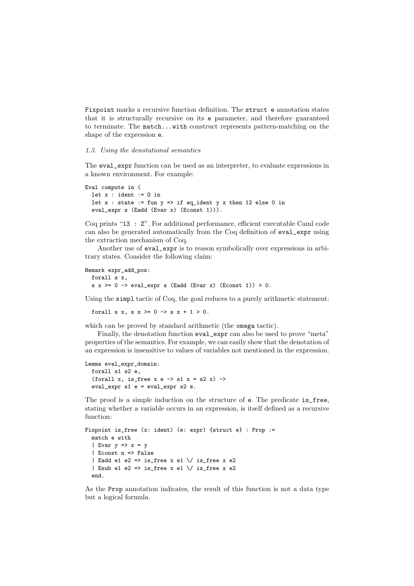Fixpoint marks a recursive function definition. The struct e annotation states that it is structurally recursive on its e parameter, and therefore guaranteed to terminate. The match...with construct represents pattern-matching on the shape of the expression e.

#### *1.3. Using the denotational semantics*

The eval\_expr function can be used as an interpreter, to evaluate expressions in a known environment. For example:

```
Eval compute in (
  let x : ident := 0 in
  let s : state := fun y \Rightarrow if eq_ident y x then 12 else 0 in
  eval_expr s (Eadd (Evar x) (Econst 1))).
```
Coq prints "13 : Z". For additional performance, efficient executable Caml code can also be generated automatically from the Coq definition of eval\_expr using the extraction mechanism of Coq.

Another use of eval expr is to reason symbolically over expressions in arbitrary states. Consider the following claim:

```
Remark expr_add_pos:
  forall s x,
  s x \ge 0 \Rightarrow eval_expr s (Eadd (Evar x) (Econst 1)) > 0.
```
Using the simpl tactic of Coq, the goal reduces to a purely arithmetic statement:

forall s x, s  $x \ge 0 \Rightarrow s x + 1 > 0$ .

which can be proved by standard arithmetic (the **omega** tactic).

Finally, the denotation function eval\_expr can also be used to prove "meta" properties of the semantics. For example, we can easily show that the denotation of an expression is insensitive to values of variables not mentioned in the expression.

```
Lemma eval_expr_domain:
  forall s1 s2 e,
  (forall x, is_free x e \rightarrow s1 x = s2 x) ->
  eval_expr s1 e = eval_expr s2 e.
```
The proof is a simple induction on the structure of e. The predicate is\_free, stating whether a variable occurs in an expression, is itself defined as a recursive function:

```
Fixpoint is_free (x: ident) (e: expr) {struct e} : Prop :=
  match e with
  | Evar y \Rightarrow x = y| Econst n => False
  | Eadd e1 e2 => is_free x e1 \/ is_free x e2
  | Esub e1 e2 => is_free x e1 \/ is_free x e2
  end.
```
As the Prop annotation indicates, the result of this function is not a data type but a logical formula.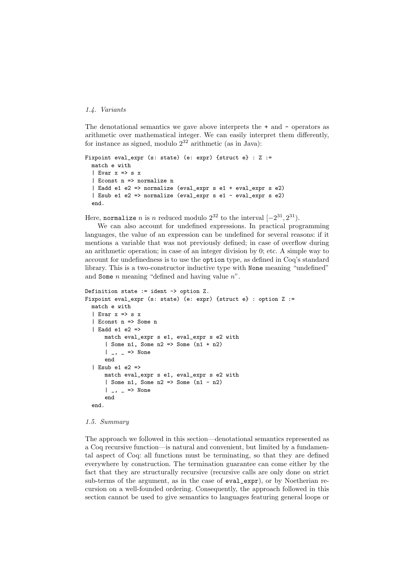# *1.4. Variants*

The denotational semantics we gave above interprets the + and - operators as arithmetic over mathematical integer. We can easily interpret them differently, for instance as signed, modulo  $2^{32}$  arithmetic (as in Java):

```
Fixpoint eval_expr (s: state) (e: expr) {struct e} : Z :=
  match e with
  | Evar x \Rightarrow s x
  | Econst n => normalize n
  | Eadd e1 e2 => normalize (eval_expr s e1 + eval_expr s e2)
  | Esub e1 e2 => normalize (eval_expr s e1 - eval_expr s e2)
  end.
```
Here, normalize *n* is *n* reduced modulo  $2^{32}$  to the interval  $[-2^{31}, 2^{31})$ .

We can also account for undefined expressions. In practical programming languages, the value of an expression can be undefined for several reasons: if it mentions a variable that was not previously defined; in case of overflow during an arithmetic operation; in case of an integer division by 0; etc. A simple way to account for undefinedness is to use the option type, as defined in Coq's standard library. This is a two-constructor inductive type with None meaning "undefined" and Some  $n$  meaning "defined and having value  $n$ ".

```
Definition state := ident -> option Z.
Fixpoint eval_expr (s: state) (e: expr) {struct e} : option Z :=
  match e with
  | Evar x => s x
  | Econst n => Some n
  | Eadd e1 e2 =>
      match eval_expr s e1, eval_expr s e2 with
      | Some n1, Some n2 => Some (n1 + n2)
      | _, _ => None
      end
  | Esub e1 e2 =>
      match eval_expr s e1, eval_expr s e2 with
      | Some n1, Some n2 => Some (n1 - n2)
      | \Box, \Box => None
      end
  end.
```
# *1.5. Summary*

The approach we followed in this section—denotational semantics represented as a Coq recursive function—is natural and convenient, but limited by a fundamental aspect of Coq: all functions must be terminating, so that they are defined everywhere by construction. The termination guarantee can come either by the fact that they are structurally recursive (recursive calls are only done on strict sub-terms of the argument, as in the case of eval\_expr), or by Noetherian recursion on a well-founded ordering. Consequently, the approach followed in this section cannot be used to give semantics to languages featuring general loops or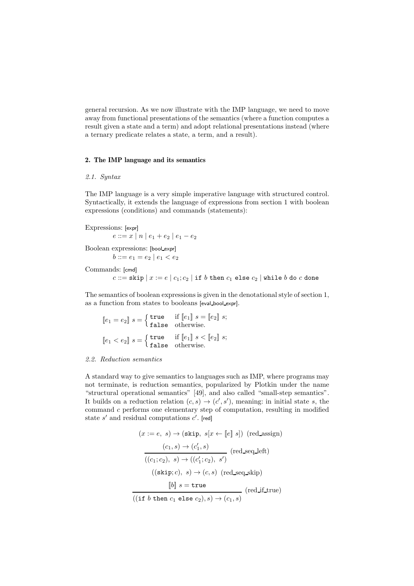general recursion. As we now illustrate with the IMP language, we need to move away from functional presentations of the semantics (where a function computes a result given a state and a term) and adopt relational presentations instead (where a ternary predicate relates a state, a term, and a result).

### 2. The IMP language and its semantics

#### *2.1. Syntax*

The IMP language is a very simple imperative language with structured control. Syntactically, it extends the language of expressions from section 1 with boolean expressions (conditions) and commands (statements):

Expressions: [expr]  $e ::= x | n | e_1 + e_2 | e_1 - e_2$ 

Boolean expressions: [bool expr]

 $b ::= e_1 = e_2 \mid e_1 < e_2$ 

Commands: [cmd]

$$
c ::= \mathtt{skip} \, | \, x := e \ | \ c_1; c_2 \ | \text{ if } \, b \text{ then } c_1 \text{ else } c_2 \ | \text{ while } b \text{ do } c \text{ done}
$$

The semantics of boolean expressions is given in the denotational style of section 1, as a function from states to booleans [eval bool expr].

$$
[e_1 = e_2] s = \begin{cases} \text{true} & \text{if } [e_1] s = [e_2] s; \\ \text{false} & \text{otherwise.} \end{cases}
$$

$$
[e_1 < e_2] s = \begin{cases} \text{true} & \text{if } [e_1] s < [e_2] s; \\ \text{false} & \text{otherwise.} \end{cases}
$$

#### *2.2. Reduction semantics*

A standard way to give semantics to languages such as IMP, where programs may not terminate, is reduction semantics, popularized by Plotkin under the name "structural operational semantics" [49], and also called "small-step semantics". It builds on a reduction relation  $(c, s) \rightarrow (c', s')$ , meaning: in initial state s, the command c performs one elementary step of computation, resulting in modified state  $s'$  and residual computations  $c'$ . [red]

$$
(x := e, s) \rightarrow (\text{skip}, s[x \leftarrow [e] \ s]) \ (\text{red.assign})
$$

$$
\frac{(c_1, s) \rightarrow (c'_1, s)}{((c_1; c_2), s) \rightarrow ((c'_1; c_2), s')}
$$

$$
(\text{red.seq\_left})
$$

$$
(\text{(skip}; c), s) \rightarrow (c, s) \ (\text{red.seq\_skip})
$$

$$
\llbracket b \rrbracket s = \text{true}
$$

$$
(\text{if } b \text{ then } c_1 \text{ else } c_2), s) \rightarrow (c_1, s)
$$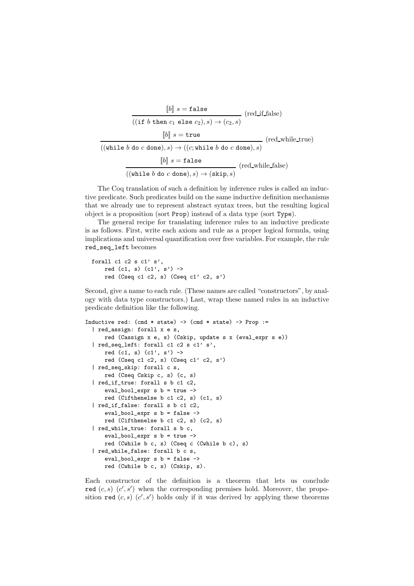[[b]] <sup>s</sup> <sup>=</sup> false (red if false) ((if b then c<sup>1</sup> else c2), s) → (c2, s) [[b]] <sup>s</sup> <sup>=</sup> true (red while true) ((while b do c done), s) → ((c; while b do c done), s) [[b]] <sup>s</sup> <sup>=</sup> false (red while false) ((while b do c done), s) → (skip, s)

The Coq translation of such a definition by inference rules is called an inductive predicate. Such predicates build on the same inductive definition mechanisms that we already use to represent abstract syntax trees, but the resulting logical object is a proposition (sort Prop) instead of a data type (sort Type).

The general recipe for translating inference rules to an inductive predicate is as follows. First, write each axiom and rule as a proper logical formula, using implications and universal quantification over free variables. For example, the rule red\_seq\_left becomes

```
forall c1 c2 s c1' s',
    red (c1, s) (c1', s') \rightarrowred (Cseq c1 c2, s) (Cseq c1' c2, s')
```
Second, give a name to each rule. (These names are called "constructors", by analogy with data type constructors.) Last, wrap these named rules in an inductive predicate definition like the following.

```
Inductive red: (cmd * state) \rightarrow (cmd * state) \rightarrow Prop :=
  | red_assign: forall x e s,
      red (Cassign x e, s) (Cskip, update s x (eval_expr s e))
  | red_seq_left: forall c1 c2 s c1' s',
      red (c1, s) (c1', s') \rightarrowred (Cseq c1 c2, s) (Cseq c1' c2, s')
  | red_seq_skip: forall c s,
      red (Cseq Cskip c, s) (c, s)
  | red_if_true: forall s b c1 c2,
      eval_bool_expr s b = true ->
     red (Cifthenelse b c1 c2, s) (c1, s)
  | red_if_false: forall s b c1 c2,
      eval_bool_expr s b = false ->
      red (Cifthenelse b c1 c2, s) (c2, s)
  | red_while_true: forall s b c,
      eval_bool_expr s b = true ->
      red (Cwhile b c, s) (Cseq c (Cwhile b c), s)
  | red_while_false: forall b c s,
      eval_bool_expr s b = false ->
      red (Cwhile b c, s) (Cskip, s).
```
Each constructor of the definition is a theorem that lets us conclude red  $(c, s)$   $(c', s')$  when the corresponding premises hold. Moreover, the proposition red  $(c, s)$   $(c', s')$  holds only if it was derived by applying these theorems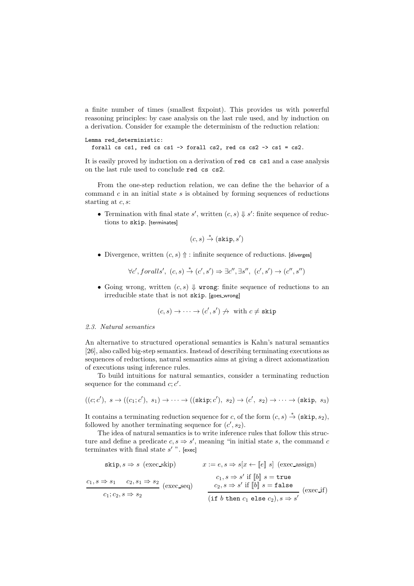a finite number of times (smallest fixpoint). This provides us with powerful reasoning principles: by case analysis on the last rule used, and by induction on a derivation. Consider for example the determinism of the reduction relation:

```
Lemma red_deterministic:
  forall cs cs1, red cs cs1 -> forall cs2, red cs cs2 -> cs1 = cs2.
```
It is easily proved by induction on a derivation of red cs cs1 and a case analysis on the last rule used to conclude red cs cs2.

From the one-step reduction relation, we can define the the behavior of a command  $c$  in an initial state  $s$  is obtained by forming sequences of reductions starting at  $c, s$ :

• Termination with final state s', written  $(c, s) \Downarrow s'$ : finite sequence of reductions to skip. [terminates]

$$
(c, s) \stackrel{*}{\rightarrow} (\mathtt{skip}, s')
$$

• Divergence, written  $(c, s)$   $\uparrow$ : infinite sequence of reductions. [diverges]

 $\forall c', for all s', (c, s) \stackrel{*}{\rightarrow} (c', s') \Rightarrow \exists c'', \exists s'', (c', s') \rightarrow (c'', s'')$ 

• Going wrong, written  $(c, s)$   $\Downarrow$  wrong: finite sequence of reductions to an irreducible state that is not skip. [goes wrong]

$$
(c, s) \to \cdots \to (c', s') \nrightarrow \text{ with } c \neq \text{skip}
$$

# *2.3. Natural semantics*

An alternative to structured operational semantics is Kahn's natural semantics [26], also called big-step semantics. Instead of describing terminating executions as sequences of reductions, natural semantics aims at giving a direct axiomatization of executions using inference rules.

To build intuitions for natural semantics, consider a terminating reduction sequence for the command  $c; c'$ .

$$
((c;c'), s \rightarrow ((c_1;c'), s_1) \rightarrow \cdots \rightarrow ((\text{skip};c'), s_2) \rightarrow (c', s_2) \rightarrow \cdots \rightarrow (\text{skip}, s_3)
$$

It contains a terminating reduction sequence for c, of the form  $(c, s) \stackrel{*}{\rightarrow} (\text{skip}, s_2)$ , followed by another terminating sequence for  $(c', s_2)$ .

The idea of natural semantics is to write inference rules that follow this structure and define a predicate  $c, s \Rightarrow s'$ , meaning "in initial state s, the command c terminates with final state  $s'$ ". [exec]

skip, s ⇒ s (exec skip) x := e, s ⇒ s[x ← [[e]] s] (exec assign) c1, s ⇒ s<sup>1</sup> c2, s<sup>1</sup> ⇒ s<sup>2</sup> (exec seq) c1; c2, s ⇒ s<sup>2</sup> c1, s ⇒ s ′ if [[b]] s = true c2, s ⇒ s ′ if [[b]] <sup>s</sup> <sup>=</sup> false (exec if) (if b then c<sup>1</sup> else c2), s ⇒ s ′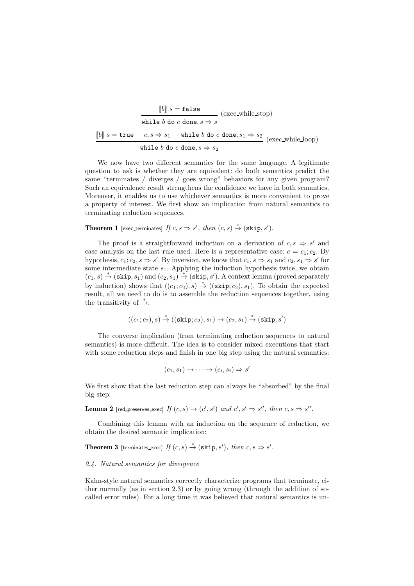$$
\begin{array}{c}\n[b] \ s = \texttt{false} \\
\hline\n\text{while } b \text{ do } c \text{ done}, s \Rightarrow s \\
[b] \ s = \texttt{true} \quad c, s \Rightarrow s_1 \quad \texttt{while } b \text{ do } c \text{ done}, s_1 \Rightarrow s_2 \\
\hline\n\text{while } b \text{ do } c \text{ done}, s \Rightarrow s_2\n\end{array}\n\text{(exec-white-loop)}
$$

We now have two different semantics for the same language. A legitimate question to ask is whether they are equivalent: do both semantics predict the same "terminates / diverges / goes wrong" behaviors for any given program? Such an equivalence result strengthens the confidence we have in both semantics. Moreover, it enables us to use whichever semantics is more convenient to prove a property of interest. We first show an implication from natural semantics to terminating reduction sequences.

# Theorem 1 [exec\_terminates]  $If c, s \Rightarrow s', then (c, s) \stackrel{*}{\rightarrow} (\text{skip}, s').$

The proof is a straightforward induction on a derivation of  $c, s \Rightarrow s'$  and case analysis on the last rule used. Here is a representative case:  $c = c_1$ ;  $c_2$ . By hypothesis,  $c_1$ ;  $c_2$ ,  $s \Rightarrow s'$ . By inversion, we know that  $c_1$ ,  $s \Rightarrow s_1$  and  $c_2$ ,  $s_1 \Rightarrow s'$  for some intermediate state  $s_1$ . Applying the induction hypothesis twice, we obtain  $(c_1, s) \stackrel{*}{\rightarrow} (\text{skip}, s_1)$  and  $(c_2, s_1) \stackrel{*}{\rightarrow} (\text{skip}, s')$ . A context lemma (proved separately by induction) shows that  $((c_1, c_2), s) \stackrel{*}{\rightarrow} ((\mathbf{skip}; c_2), s_1)$ . To obtain the expected result, all we need to do is to assemble the reduction sequences together, using the transitivity of  $\stackrel{*}{\rightarrow}$ :

$$
((c_1;c_2),s) \stackrel{*}{\rightarrow} ((\mathtt{skip};c_2),s_1) \rightarrow (c_2,s_1) \stackrel{*}{\rightarrow} (\mathtt{skip},s')
$$

The converse implication (from terminating reduction sequences to natural semantics) is more difficult. The idea is to consider mixed executions that start with some reduction steps and finish in one big step using the natural semantics:

$$
(c_1, s_1) \to \cdots \to (c_i, s_i) \Rightarrow s'
$$

We first show that the last reduction step can always be "absorbed" by the final big step:

**Lemma 2** [red\_preserves\_exec]  $If (c, s) \rightarrow (c', s') \text{ and } c', s' \Rightarrow s'', then c, s \Rightarrow s''.$ 

Combining this lemma with an induction on the sequence of reduction, we obtain the desired semantic implication:

**Theorem 3** [terminates\_exec]  $If (c, s) \stackrel{*}{\rightarrow} (\text{skip}, s')$ , then  $c, s \Rightarrow s'$ .

#### *2.4. Natural semantics for divergence*

Kahn-style natural semantics correctly characterize programs that terminate, either normally (as in section 2.3) or by going wrong (through the addition of socalled error rules). For a long time it was believed that natural semantics is un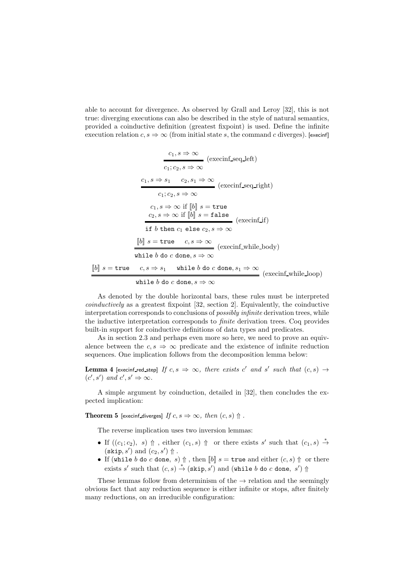able to account for divergence. As observed by Grall and Leroy [32], this is not true: diverging executions can also be described in the style of natural semantics, provided a coinductive definition (greatest fixpoint) is used. Define the infinite execution relation  $c, s \Rightarrow \infty$  (from initial state s, the command c diverges). [execinf]

$$
\frac{c_1, s \Rightarrow \infty}{c_1; c_2, s \Rightarrow \infty} \text{ (execinf\_seq\_left)}
$$
\n
$$
\frac{c_1, s \Rightarrow s_1 \quad c_2, s_1 \Rightarrow \infty}{c_1; c_2, s \Rightarrow \infty} \text{ (execinf\_seq\_right)}
$$
\n
$$
c_1; c_2, s \Rightarrow \infty \text{ if } [b] \ s = \text{true}
$$
\n
$$
\frac{c_2, s \Rightarrow \infty \text{ if } [b] \ s = \text{false}}{\text{if } b \text{ then } c_1 \text{ else } c_2, s \Rightarrow \infty} \text{ (execinf\_if)}
$$
\n
$$
[b] \ s = \text{true} \quad c, s \Rightarrow \infty \text{ (execinf\_while\_body)}
$$
\n
$$
[b] \ s = \text{true} \quad c, s \Rightarrow s_1 \quad \text{while } b \text{ do } c \text{ done}, s_1 \Rightarrow \infty \text{ (execinf\_while\_loop)}
$$

$$
\mathtt{while}~b~\mathtt{do}~c~\mathtt{done}, s \Rightarrow \infty
$$

As denoted by the double horizontal bars, these rules must be interpreted *coinductively* as a greatest fixpoint [32, section 2]. Equivalently, the coinductive interpretation corresponds to conclusions of *possibly infinite* derivation trees, while the inductive interpretation corresponds to *finite* derivation trees. Coq provides built-in support for coinductive definitions of data types and predicates.

As in section 2.3 and perhaps even more so here, we need to prove an equivalence between the  $c, s \Rightarrow \infty$  predicate and the existence of infinite reduction sequences. One implication follows from the decomposition lemma below:

**Lemma 4** [execinf\_red\_step] If  $c, s \Rightarrow \infty$ , there exists c' and s' such that  $(c, s) \rightarrow$  $(c', s')$  and  $c', s' \Rightarrow \infty$ .

A simple argument by coinduction, detailed in [32], then concludes the expected implication:

**Theorem 5** [execinf diverges] *If*  $c, s \Rightarrow \infty$ , *then*  $(c, s)$   $\uparrow$ .

The reverse implication uses two inversion lemmas:

- If  $((c_1;c_2), s) \uparrow$ , either  $(c_1, s) \uparrow$  or there exists s' such that  $(c_1, s) \stackrel{*}{\rightarrow}$  $(\textsf{skip}, s')$  and  $(c_2, s')$   $\Uparrow$ .
- If (while b do c done, s)  $\Uparrow$ , then  $\llbracket b \rrbracket$  s = true and either  $(c, s)$   $\Uparrow$  or there exists s' such that  $(c, s) \stackrel{*}{\rightarrow} (\text{skip}, s')$  and (while b do c done, s')  $\Uparrow$

These lemmas follow from determinism of the  $\rightarrow$  relation and the seemingly obvious fact that any reduction sequence is either infinite or stops, after finitely many reductions, on an irreducible configuration: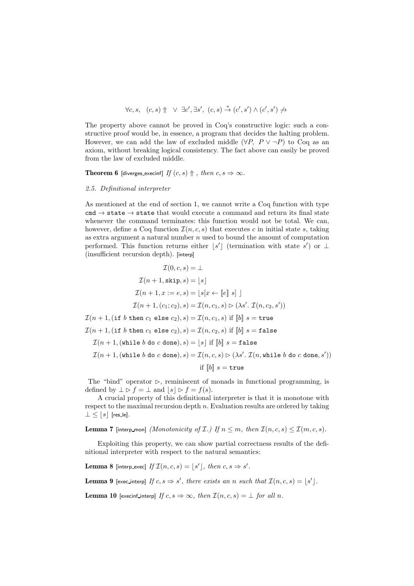$$
\forall c, s, (c, s) \uparrow \forall \exists c', \exists s', (c, s) \stackrel{*}{\rightarrow} (c', s') \land (c', s') \nrightarrow
$$

The property above cannot be proved in Coq's constructive logic: such a constructive proof would be, in essence, a program that decides the halting problem. However, we can add the law of excluded middle  $(\forall P, P \lor \neg P)$  to Coq as an axiom, without breaking logical consistency. The fact above can easily be proved from the law of excluded middle.

**Theorem 6** [diverges execinf] *If*  $(c, s)$   $\Uparrow$ *, then*  $c, s \Rightarrow \infty$ *.* 

#### *2.5. Definitional interpreter*

As mentioned at the end of section 1, we cannot write a Coq function with type  $c$ md  $\rightarrow$  state  $\rightarrow$  state that would execute a command and return its final state whenever the command terminates: this function would not be total. We can, however, define a Coq function  $\mathcal{I}(n, c, s)$  that executes c in initial state s, taking as extra argument a natural number  $n$  used to bound the amount of computation performed. This function returns either  $\lfloor s' \rfloor$  (termination with state s') or  $\perp$ (insufficient recursion depth). [interp]

$$
\mathcal{I}(0, c, s) = \bot
$$
\n
$$
\mathcal{I}(n + 1, \text{skip}, s) = \lfloor s \rfloor
$$
\n
$$
\mathcal{I}(n + 1, x := e, s) = \lfloor s[x \leftarrow \lfloor e \rfloor \ s] \rfloor
$$
\n
$$
\mathcal{I}(n + 1, (c_1; c_2), s) = \mathcal{I}(n, c_1, s) \rhd (\lambda s'. \mathcal{I}(n, c_2, s'))
$$
\n
$$
\mathcal{I}(n + 1, (\text{if } b \text{ then } c_1 \text{ else } c_2), s) = \mathcal{I}(n, c_1, s) \text{ if } \lfloor b \rfloor \ s = \text{true}
$$
\n
$$
\mathcal{I}(n + 1, (\text{if } b \text{ then } c_1 \text{ else } c_2), s) = \mathcal{I}(n, c_2, s) \text{ if } \lfloor b \rfloor \ s = \text{false}
$$
\n
$$
\mathcal{I}(n + 1, (\text{while } b \text{ do } c \text{ done}), s) = \lfloor s \rfloor \text{ if } \lfloor b \rfloor \ s = \text{false}
$$
\n
$$
\mathcal{I}(n + 1, (\text{while } b \text{ do } c \text{ done}), s) = \mathcal{I}(n, c, s) \rhd (\lambda s'. \mathcal{I}(n, \text{while } b \text{ do } c \text{ done}, s'))
$$
\n
$$
\text{if } \lfloor b \rfloor \ s = \text{true}
$$

The "bind" operator  $\triangleright$ , reminiscent of monads in functional programming, is defined by  $\perp \triangleright f = \perp$  and  $|s| \triangleright f = f(s)$ .

A crucial property of this definitional interpreter is that it is monotone with respect to the maximal recursion depth  $n$ . Evaluation results are ordered by taking  $\perp \leq |s|$  [res\_le].

**Lemma 7** [interp\_mon] *(Monotonicity of*  $\mathcal{I}$ .) If  $n \leq m$ , then  $\mathcal{I}(n, c, s) \leq \mathcal{I}(m, c, s)$ .

Exploiting this property, we can show partial correctness results of the definitional interpreter with respect to the natural semantics:

**Lemma 8** [interp\_exec] If  $\mathcal{I}(n, c, s) = \lfloor s' \rfloor$ , then  $c, s \Rightarrow s'$ .

**Lemma 9** [exec\_interp] If  $c, s \Rightarrow s'$ , there exists an n such that  $\mathcal{I}(n, c, s) = \lfloor s' \rfloor$ .

**Lemma 10** [execinf\_interp] *If*  $c, s \Rightarrow \infty$ , *then*  $\mathcal{I}(n, c, s) = \bot$  *for all n.*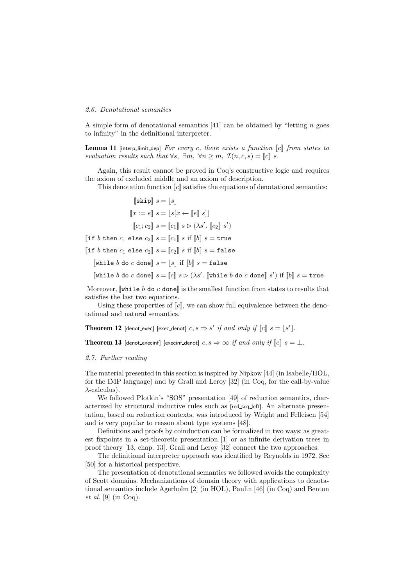# *2.6. Denotational semantics*

A simple form of denotational semantics  $[41]$  can be obtained by "letting n goes to infinity" in the definitional interpreter.

Lemma 11 [interp\_limit\_dep] *For every c, there exists a function* [c] *from states to evaluation results such that*  $\forall s, \exists m, \forall n \geq m, \mathcal{I}(n, c, s) = \llbracket c \rrbracket s$ .

Again, this result cannot be proved in Coq's constructive logic and requires the axiom of excluded middle and an axiom of description.

This denotation function  $\llbracket c \rrbracket$  satisfies the equations of denotational semantics:

$$
\begin{aligned}\n\llbracket \text{skip} \rrbracket & s = \lfloor s \rfloor \\
\llbracket x := e \rrbracket & s = \lfloor s[x \leftarrow \llbracket e \rrbracket \, s] \rrbracket \\
\llbracket c_1; c_2 \rrbracket & s = \llbracket c_1 \rrbracket \, s \rhd (\lambda s'. \llbracket c_2 \rrbracket \, s') \\
\llbracket \text{if } b \text{ then } c_1 \text{ else } c_2 \rrbracket & s = \llbracket c_1 \rrbracket \, s \text{ if } \llbracket b \rrbracket \, s = \text{true} \\
\llbracket \text{if } b \text{ then } c_1 \text{ else } c_2 \rrbracket \, s = \llbracket c_2 \rrbracket \, s \text{ if } \llbracket b \rrbracket \, s = \text{false}\n\end{aligned}
$$

[while b do c done]  $s = |s|$  if  $||b||$   $s =$  false

[while b do c done]  $s = [c] \ s \rhd (\lambda s'.$  [while b do c done]  $s'$ ) if  $[b] \ s =$  true

Moreover,  $\lbrack \nabla \cdot \rbrack$  while b do c done is the smallest function from states to results that satisfies the last two equations.

Using these properties of  $\llbracket c \rrbracket$ , we can show full equivalence between the denotational and natural semantics.

Theorem 12 [denot\_exec] [exec\_denot]  $c, s \Rightarrow s'$  *if and only if*  $[[c]]$   $s = [s']$ .

Theorem 13 [denot execinf] [execinf denot]  $c, s \Rightarrow \infty$  *if and only if*  $||c|| \ s = \bot$ *.* 

#### *2.7. Further reading*

The material presented in this section is inspired by Nipkow [44] (in Isabelle/HOL, for the IMP language) and by Grall and Leroy [32] (in Coq, for the call-by-value  $\lambda$ -calculus).

We followed Plotkin's "SOS" presentation [49] of reduction semantics, characterized by structural inductive rules such as  $[red\_seq\_left]$ . An alternate presentation, based on reduction contexts, was introduced by Wright and Felleisen [54] and is very popular to reason about type systems [48].

Definitions and proofs by coinduction can be formalized in two ways: as greatest fixpoints in a set-theoretic presentation [1] or as infinite derivation trees in proof theory [13, chap. 13]. Grall and Leroy [32] connect the two approaches.

The definitional interpreter approach was identified by Reynolds in 1972. See [50] for a historical perspective.

The presentation of denotational semantics we followed avoids the complexity of Scott domains. Mechanizations of domain theory with applications to denotational semantics include Agerholm [2] (in HOL), Paulin [46] (in Coq) and Benton *et al.* [9] (in Coq).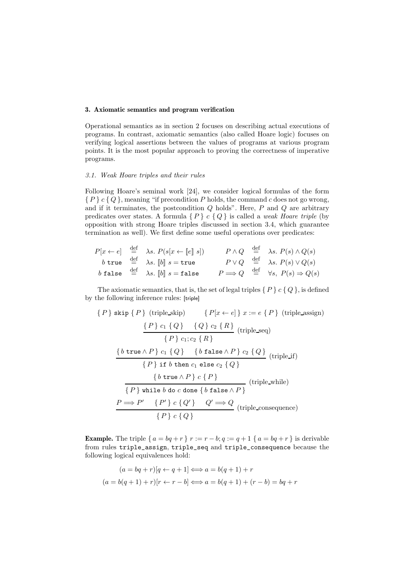# 3. Axiomatic semantics and program verification

Operational semantics as in section 2 focuses on describing actual executions of programs. In contrast, axiomatic semantics (also called Hoare logic) focuses on verifying logical assertions between the values of programs at various program points. It is the most popular approach to proving the correctness of imperative programs.

## *3.1. Weak Hoare triples and their rules*

Following Hoare's seminal work [24], we consider logical formulas of the form  ${P} c {Q}$ , meaning "if precondition P holds, the command c does not go wrong, and if it terminates, the postcondition  $Q$  holds". Here,  $P$  and  $Q$  are arbitrary predicates over states. A formula  $\{P\}$  c  $\{Q\}$  is called a *weak Hoare triple* (by opposition with strong Hoare triples discussed in section 3.4, which guarantee termination as well). We first define some useful operations over predicates:

$$
P[x \leftarrow e] \stackrel{\text{def}}{=} \lambda s. \ P(s[x \leftarrow [e] \ s]) \qquad \begin{array}{ccc} P \wedge Q & \stackrel{\text{def}}{=} & \lambda s. \ P(s) \wedge Q(s) \\ b \text{ true} & \stackrel{\text{def}}{=} & \lambda s. \ [b] \ s = \text{true} \end{array}
$$
\n
$$
P \vee Q \stackrel{\text{def}}{=} \lambda s. \ P(s) \vee Q(s)
$$
\n
$$
b \text{ false} \stackrel{\text{def}}{=} \lambda s. \ [b] \ s = \text{false} \qquad P \Longrightarrow Q \stackrel{\text{def}}{=} \forall s, \ P(s) \Rightarrow Q(s)
$$

The axiomatic semantics, that is, the set of legal triples  $\{P\}$  c  $\{Q\}$ , is defined by the following inference rules: [triple]

$$
\{P\} \text{ skip } \{P\} \text{ (triple\_skip)} \{P[x \leftarrow e]\} x := e \{P\} \text{ (triple\_assign)}
$$
\n
$$
\frac{\{P\} c_1 \{Q\} \{Q\} c_2 \{R\}}{\{P\} c_1; c_2 \{R\}}
$$
\n
$$
\frac{\{b \text{ true } \land P\} c_1 \{Q\} \{b \text{ false } \land P\} c_2 \{Q\}}{\{P\} \text{ if } b \text{ then } c_1 \text{ else } c_2 \{Q\}}
$$
\n
$$
\{b \text{ true } \land P\} c \{P\}
$$
\n
$$
\{P\} \text{ while } b \text{ do } c \text{ done } \{b \text{ false } \land P\}
$$
\n
$$
\frac{P \implies P' \{P'\} c \{Q'\} \{Q' \implies Q' \text{ triple\_consequence}}
$$
\n
$$
\{P\} c \{Q\}
$$
\n
$$
\{P\} c \{Q\}
$$
\n
$$
\{P\} c \{Q\}
$$

**Example.** The triple  $\{a = bq + r\}$   $r := r - b$ ;  $q := q + 1$   $\{a = bq + r\}$  is derivable from rules triple\_assign, triple\_seq and triple\_consequence because the following logical equivalences hold:

$$
(a = bq + r)[q \leftarrow q + 1] \Longleftrightarrow a = b(q + 1) + r
$$

$$
(a = b(q + 1) + r)[r \leftarrow r - b] \Longleftrightarrow a = b(q + 1) + (r - b) = bq + r
$$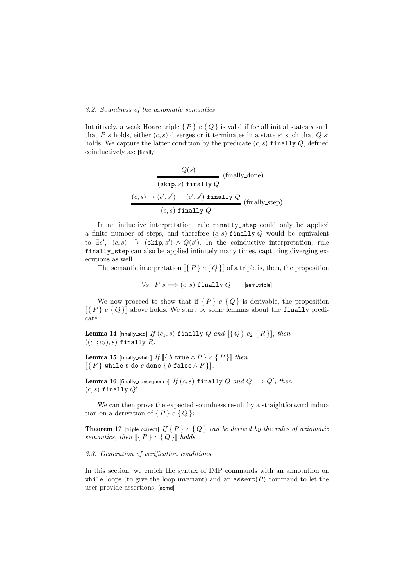# *3.2. Soundness of the axiomatic semantics*

Intuitively, a weak Hoare triple  $\{P\} c \{Q\}$  is valid if for all initial states s such that P s holds, either  $(c, s)$  diverges or it terminates in a state s' such that Q s' holds. We capture the latter condition by the predicate  $(c, s)$  finally  $Q$ , defined coinductively as: [finally]

$$
\frac{Q(s)}{(\text{skip}, s) \text{ finally } Q}
$$
 (finally done)  

$$
\frac{(c, s) \rightarrow (c', s') \quad (c', s') \text{ finally } Q}{(c, s) \text{ finally } Q}
$$
 (finally-step)

In an inductive interpretation, rule finally\_step could only be applied a finite number of steps, and therefore  $(c, s)$  finally Q would be equivalent to  $\exists s'$ ,  $(c, s) \stackrel{*}{\rightarrow} (\text{skip}, s') \wedge Q(s')$ . In the coinductive interpretation, rule finally\_step can also be applied infinitely many times, capturing diverging executions as well.

The semantic interpretation  $\llbracket \{ P \} \, c \, \{ Q \} \rrbracket$  of a triple is, then, the proposition

$$
\forall s, \ P \ s \Longrightarrow (c, s) \ \mathtt{finally} \ Q \qquad \text{[sem-triple]}\\
$$

We now proceed to show that if  $\{P\}$  c  $\{Q\}$  is derivable, the proposition  $\{P\}$  c  $\{Q\}$ ] above holds. We start by some lemmas about the finally predicate.

**Lemma 14** [finally seq] If  $(c_1, s)$  finally Q and  $\left[\right\{Q\right\} c_2 \left\{R\right\}\right]$ *, then*  $((c_1; c_2), s)$  finally R.

**Lemma 15** [finally\_while] If  $[\{ b \text{ true } \land P \} \ c \ \{ P \} ]$  *then*  $\llbracket \{ P \} \text{ while } b \text{ do } c \text{ done } \{ b \text{ false } \land P \} \rrbracket.$ 

 $$  $(c, s)$  finally  $Q'$ .

We can then prove the expected soundness result by a straightforward induction on a derivation of  $\{P\}$  c  $\{Q\}$ :

**Theorem 17** [triple correct] If  $\{P\}$  c  $\{Q\}$  can be derived by the rules of axiomatic *semantics, then*  $\{P\}$  *c*  $\{Q\}$ *l holds.* 

# *3.3. Generation of verification conditions*

In this section, we enrich the syntax of IMP commands with an annotation on while loops (to give the loop invariant) and an  $\operatorname{assert}(P)$  command to let the user provide assertions. [acmd]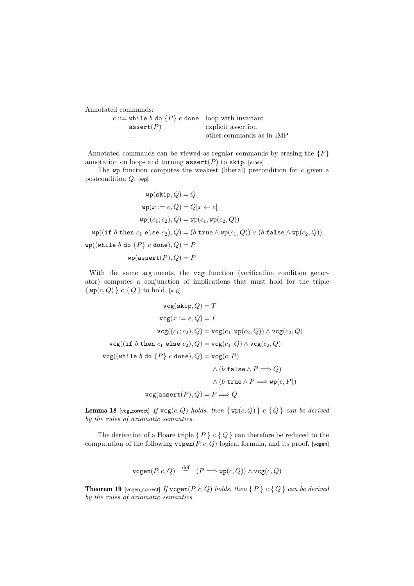Annotated commands:

| c ::= while b do $\{P\}$ c done loop with invariant |                          |
|-----------------------------------------------------|--------------------------|
| $ $ assert $(P)$                                    | explicit assertion       |
| $\mathbf{1}$                                        | other commands as in IMP |

Annotated commands can be viewed as regular commands by erasing the  $\{P\}$ annotation on loops and turning  $\texttt{assert}(P)$  to skip. [erase]

The  $wp$  function computes the weakest (liberal) precondition for  $c$  given a postcondition Q. [wp]

$$
\text{wp}(\text{skip},Q) = Q
$$
\n
$$
\text{wp}(x := e, Q) = Q[x \leftarrow e]
$$
\n
$$
\text{wp}((c_1; c_2), Q) = \text{wp}(c_1, \text{wp}(c_2, Q))
$$
\n
$$
\text{wp}((\text{if } b \text{ then } c_1 \text{ else } c_2), Q) = (b \text{ true} \land \text{wp}(c_1, Q)) \lor (b \text{ false} \land \text{wp}(c_2, Q))
$$
\n
$$
\text{wp}((\text{while } b \text{ do } \{P\} \ c \text{ done}), Q) = P
$$
\n
$$
\text{wp}(\text{assert}(P), Q) = P
$$

With the same arguments, the vcg function (verification condition generator) computes a conjunction of implications that must hold for the triple  $\{ \text{wp}(c, Q) \} c \{ Q \}$  to hold. [vcg]

$$
\begin{aligned} \text{vcg}(\text{skip},Q) = T \\ \text{vcg}(x := e,Q) = T \\ \text{vcg}((c_1;c_2),Q) = \text{vcg}(c_1,\text{wp}(c_2,Q)) \land \text{vcg}(c_2,Q) \\ \text{vcg}((\text{if } b \text{ then } c_1 \text{ else } c_2),Q) = \text{vcg}(c_1,Q) \land \text{vcg}(c_2,Q) \\ \text{vcg}((\text{while } b \text{ do } \{P\} \ c \text{ done}),Q) = \text{vcg}(c,P) \\ \land \ (b \text{ false} \land P \Longrightarrow Q) \\ \land \ (b \text{ true} \land P \Longrightarrow \text{wp}(c,P)) \\ \text{vcg}(\text{assert}(P),Q) = P \Longrightarrow Q \end{aligned}
$$

**Lemma 18** [vcg correct] If  $\text{vcg}(c, Q)$  holds, then  $\{ \text{wp}(c, Q) \}$  c  $\{ Q \}$  can be derived *by the rules of axiomatic semantics.*

The derivation of a Hoare triple  $\{P\} c \{Q\}$  can therefore be reduced to the computation of the following  $vcgen(P, c, Q)$  logical formula, and its proof. [vcgen]

$$
\texttt{vcgen}(P,c,Q) \stackrel{\text{def}}{=} (P \Longrightarrow \texttt{wp}(c,Q)) \land \texttt{vcg}(c,Q)
$$

Theorem 19 [vcgen correct] *If* vcgen(P, c, Q) *holds, then* { P } c { Q } *can be derived by the rules of axiomatic semantics.*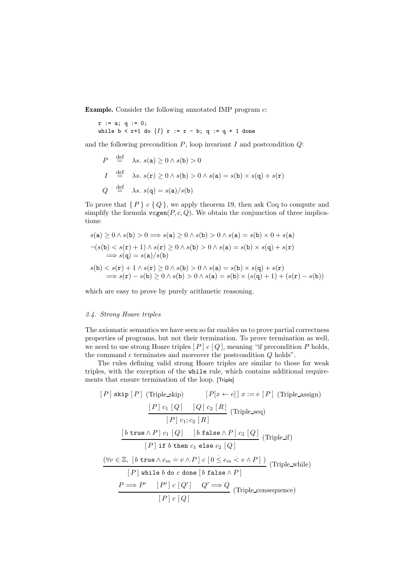**Example.** Consider the following annotated IMP program  $c$ :

 $r := a; q := 0;$ while  $b < r+1$  do  $\{I\}$  r := r - b; q := q + 1 done

and the following precondition  $P$ , loop invariant  $I$  and postcondition  $Q$ :

$$
P \stackrel{\text{def}}{=} \lambda s. \ s(\mathbf{a}) \ge 0 \land s(\mathbf{b}) > 0
$$
  

$$
I \stackrel{\text{def}}{=} \lambda s. \ s(\mathbf{r}) \ge 0 \land s(\mathbf{b}) > 0 \land s(\mathbf{a}) = s(\mathbf{b}) \times s(\mathbf{q}) + s(\mathbf{r})
$$
  

$$
Q \stackrel{\text{def}}{=} \lambda s. \ s(\mathbf{q}) = s(\mathbf{a})/s(\mathbf{b})
$$

To prove that  $\{P\}$  c  $\{Q\}$ , we apply theorem 19, then ask Coq to compute and simplify the formula  $vccen(P, c, Q)$ . We obtain the conjunction of three implications:

$$
s(\mathbf{a}) \ge 0 \land s(\mathbf{b}) > 0 \Longrightarrow s(\mathbf{a}) \ge 0 \land s(\mathbf{b}) > 0 \land s(\mathbf{a}) = s(\mathbf{b}) \times 0 + s(\mathbf{a})
$$
  
\n
$$
\neg(s(\mathbf{b}) < s(\mathbf{r}) + 1) \land s(\mathbf{r}) \ge 0 \land s(\mathbf{b}) > 0 \land s(\mathbf{a}) = s(\mathbf{b}) \times s(\mathbf{q}) + s(\mathbf{r})
$$
  
\n
$$
\Longrightarrow s(\mathbf{q}) = s(\mathbf{a})/s(\mathbf{b})
$$
  
\n
$$
s(\mathbf{b}) < s(\mathbf{r}) + 1 \land s(\mathbf{r}) \ge 0 \land s(\mathbf{b}) > 0 \land s(\mathbf{a}) = s(\mathbf{b}) \times s(\mathbf{q}) + s(\mathbf{r})
$$
  
\n
$$
\Longrightarrow s(\mathbf{r}) - s(\mathbf{b}) \ge 0 \land s(\mathbf{b}) > 0 \land s(\mathbf{a}) = s(\mathbf{b}) \times (s(\mathbf{q}) + 1) + (s(\mathbf{r}) - s(\mathbf{b}))
$$

which are easy to prove by purely arithmetic reasoning.

#### *3.4. Strong Hoare triples*

The axiomatic semantics we have seen so far enables us to prove partial correctness properties of programs, but not their termination. To prove termination as well, we need to use strong Hoare triples  $[P]$  c  $[Q]$ , meaning "if precondition P holds, the command c terminates and moreover the postcondition Q holds".

The rules defining valid strong Hoare triples are similar to those for weak triples, with the exception of the while rule, which contains additional requirements that ensure termination of the loop. [Triple]

$$
[P] \text{ skip } [P] \text{ (Triple\_skip)} \qquad [P[x \leftarrow e]] \ x := e [P] \text{ (Triple\_assign)}
$$
\n
$$
\frac{[P] c_1 [Q] \quad [Q] c_2 [R]}{[P] c_1; c_2 [R]} \text{ (Triple\_seq)}
$$
\n
$$
\frac{[b \text{ true } \land P] c_1 [Q] \quad [b \text{ false } \land P] c_2 [Q]}{[P] \text{ if } b \text{ then } c_1 \text{ else } c_2 [Q]}
$$
\n
$$
\frac{(\forall v \in \mathbb{Z}, [b \text{ true } \land e_m = v \land P] c [0 \le e_m < v \land P])}{[P] \text{ while } b \text{ do } c \text{ done } [b \text{ false } \land P]}
$$
\n
$$
\frac{P \Longrightarrow P' \quad [P'] c [Q'] \quad Q' \Longrightarrow Q \text{ (Triple\_consequence)}}
$$
\n
$$
[P] c [Q]
$$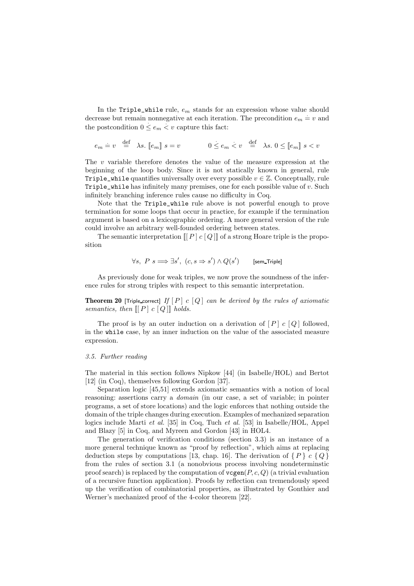In the Triple\_while rule,  $e_m$  stands for an expression whose value should decrease but remain nonnegative at each iteration. The precondition  $e_m = v$  and the postcondition  $0 \leq e_m < v$  capture this fact:

$$
e_m=v \quad \mathop{\stackrel{\mathrm{def}}{=}}\nolimits \quad \lambda s. \,\, [\![ e_m ]\!] \,\, s=v \qquad \qquad 0 \leq e_m < v \quad \mathop{\stackrel{\mathrm{def}}{=}}\nolimits \quad \lambda s. \,\, 0 \leq [\![ e_m ]\!] \,\, s < v
$$

The v variable therefore denotes the value of the measure expression at the beginning of the loop body. Since it is not statically known in general, rule Triple\_while quantifies universally over every possible  $v \in \mathbb{Z}$ . Conceptually, rule Triple\_while has infinitely many premises, one for each possible value of v. Such infinitely branching inference rules cause no difficulty in Coq.

Note that the Triple\_while rule above is not powerful enough to prove termination for some loops that occur in practice, for example if the termination argument is based on a lexicographic ordering. A more general version of the rule could involve an arbitrary well-founded ordering between states.

The semantic interpretation  $[[P] \ c [Q]]$  of a strong Hoare triple is the proposition

$$
\forall s, \ P \ s \Longrightarrow \exists s', \ (c, s \Rightarrow s') \land Q(s') \qquad \text{[sem\_Triple]}
$$

As previously done for weak triples, we now prove the soundness of the inference rules for strong triples with respect to this semantic interpretation.

**Theorem 20** [Triple correct] If  $[P]$  c  $[Q]$  *can be derived by the rules of axiomatic semantics, then*  $[[P] \ c \ [Q] \]$  *holds.* 

The proof is by an outer induction on a derivation of  $[P]$  c  $[Q]$  followed, in the while case, by an inner induction on the value of the associated measure expression.

# *3.5. Further reading*

The material in this section follows Nipkow [44] (in Isabelle/HOL) and Bertot [12] (in Coq), themselves following Gordon [37].

Separation logic [45,51] extends axiomatic semantics with a notion of local reasoning: assertions carry a *domain* (in our case, a set of variable; in pointer programs, a set of store locations) and the logic enforces that nothing outside the domain of the triple changes during execution. Examples of mechanized separation logics include Marti *et al.* [35] in Coq, Tuch *et al.* [53] in Isabelle/HOL, Appel and Blazy [5] in Coq, and Myreen and Gordon [43] in HOL4.

The generation of verification conditions (section 3.3) is an instance of a more general technique known as "proof by reflection", which aims at replacing deduction steps by computations [13, chap. 16]. The derivation of  $\{P\}$  c  $\{Q\}$ from the rules of section 3.1 (a nonobvious process involving nondeterminstic proof search) is replaced by the computation of  $v_{\mathbf{C}}(\mathbf{P}, c, Q)$  (a trivial evaluation of a recursive function application). Proofs by reflection can tremendously speed up the verification of combinatorial properties, as illustrated by Gonthier and Werner's mechanized proof of the 4-color theorem [22].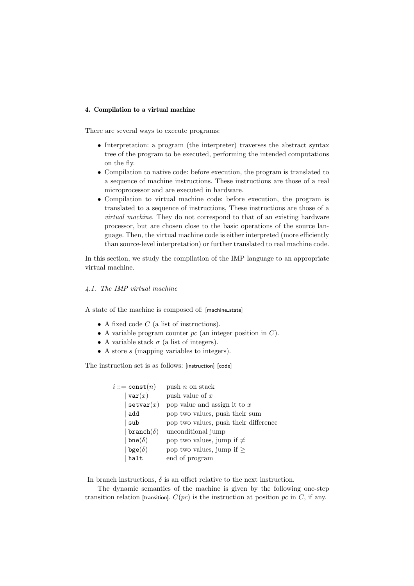# 4. Compilation to a virtual machine

There are several ways to execute programs:

- Interpretation: a program (the interpreter) traverses the abstract syntax tree of the program to be executed, performing the intended computations on the fly.
- Compilation to native code: before execution, the program is translated to a sequence of machine instructions. These instructions are those of a real microprocessor and are executed in hardware.
- Compilation to virtual machine code: before execution, the program is translated to a sequence of instructions, These instructions are those of a *virtual machine*. They do not correspond to that of an existing hardware processor, but are chosen close to the basic operations of the source language. Then, the virtual machine code is either interpreted (more efficiently than source-level interpretation) or further translated to real machine code.

In this section, we study the compilation of the IMP language to an appropriate virtual machine.

# *4.1. The IMP virtual machine*

A state of the machine is composed of: [machine state]

- A fixed code  $C$  (a list of instructions).
- A variable program counter  $pc$  (an integer position in  $C$ ).
- A variable stack  $\sigma$  (a list of integers).
- A store s (mapping variables to integers).

The instruction set is as follows: [instruction] [code]

| $i ::= \mathtt{const}(n)$ | push $n$ on stack                     |
|---------------------------|---------------------------------------|
| var(x)                    | push value of $x$                     |
| $\texttt{setvar}(x)$      | pop value and assign it to $x$        |
| add                       | pop two values, push their sum        |
| sub                       | pop two values, push their difference |
| $branch(\delta)$          | unconditional jump                    |
| $bne(\delta)$             | pop two values, jump if $\neq$        |
| $bge(\delta)$             | pop two values, jump if $\geq$        |
| halt                      | end of program                        |
|                           |                                       |

In branch instructions,  $\delta$  is an offset relative to the next instruction.

The dynamic semantics of the machine is given by the following one-step transition relation [transition].  $C(pc)$  is the instruction at position pc in C, if any.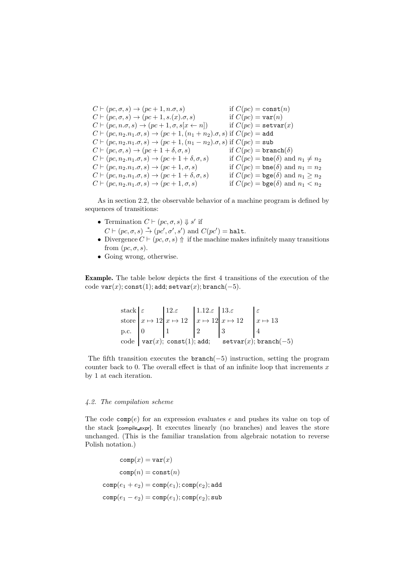$C \vdash (pc, \sigma, s) \rightarrow (pc + 1, n.\sigma, s)$  if  $C(pc) = \text{const}(n)$  $C \vdash (pc, \sigma, s) \rightarrow (pc + 1, s.(x).\sigma, s)$  if  $C(pc) = \text{var}(n)$  $C \vdash (pc, n.\sigma, s) \rightarrow (pc + 1, \sigma, s[x \leftarrow n])$  if  $C(pc) = \texttt{setvar}(x)$  $C \vdash (pc, n_2.n_1.\sigma, s) \rightarrow (pc + 1, (n_1 + n_2).\sigma, s)$  if  $C(pc) =$ add  $C \vdash (pc, n_2.n_1.\sigma, s) \rightarrow (pc + 1, (n_1 - n_2).\sigma, s)$  if  $C(pc) = sub$  $C \vdash (pc, \sigma, s) \rightarrow (pc + 1 + \delta, \sigma, s)$  if  $C(pc) = \text{branch}(\delta)$  $C \vdash (pc, n_2.n_1.\sigma, s) \rightarrow (pc + 1 + \delta, \sigma, s)$  if  $C(pc) = \text{bne}(\delta)$  and  $n_1 \neq n_2$  $C \vdash (pc, n_2.n_1.\sigma, s) \rightarrow (pc + 1, \sigma, s)$  if  $C(pc) = \text{bne}(\delta)$  and  $n_1 = n_2$  $C \vdash (pc, n_2.n_1.\sigma, s) \rightarrow (pc + 1 + \delta, \sigma, s)$  if  $C(pc) = \text{bge}(\delta)$  and  $n_1 \ge n_2$  $C \vdash (pc, n_2.n_1.\sigma, s) \rightarrow (pc + 1, \sigma, s)$  if  $C(pc) = \text{bge}(\delta)$  and  $n_1 < n_2$ 

As in section 2.2, the observable behavior of a machine program is defined by sequences of transitions:

- Termination  $C \vdash (pc, \sigma, s) \Downarrow s'$  if  $C \vdash (pc, \sigma, s) \stackrel{*}{\rightarrow} (pc', \sigma', s')$  and  $C(pc') = \texttt{halt}.$
- Divergence  $C \vdash (pc, \sigma, s) \uparrow$  if the machine makes infinitely many transitions from  $(pc, \sigma, s)$ .
- Going wrong, otherwise.

Example. The table below depicts the first 4 transitions of the execution of the code var $(x)$ ; const $(1)$ ; add; setvar $(x)$ ; branch $(-5)$ .

stack 
$$
\begin{cases} \varepsilon \\ x \mapsto 12 \\ p.c. \end{cases}
$$
  $\begin{cases} 1.12.\varepsilon \\ x \mapsto 12 \\ 1 \end{cases}$   $\begin{cases} 1.12.\varepsilon \\ x \mapsto 12 \\ 2 \end{cases}$   $\begin{cases} 13.\varepsilon \\ x \mapsto 12 \\ 3 \end{cases}$   $\begin{cases} \varepsilon \\ x \mapsto 13 \\ 4 \end{cases}$   
code  $var(x)$ ; const(1); add; setvar(x); branch(-5)

The fifth transition executes the **branch** $(-5)$  instruction, setting the program counter back to 0. The overall effect is that of an infinite loop that increments  $x$ by 1 at each iteration.

# *4.2. The compilation scheme*

The code  $comp(e)$  for an expression evaluates e and pushes its value on top of the stack [compile expr]. It executes linearly (no branches) and leaves the store unchanged. (This is the familiar translation from algebraic notation to reverse Polish notation.)

$$
\begin{aligned} \text{comp}(x) &= \text{var}(x) \\ \text{comp}(n) &= \text{const}(n) \\ \text{comp}(e_1 + e_2) &= \text{comp}(e_1); \text{comp}(e_2); \text{add} \\ \text{comp}(e_1 - e_2) &= \text{comp}(e_1); \text{comp}(e_2); \text{sub} \end{aligned}
$$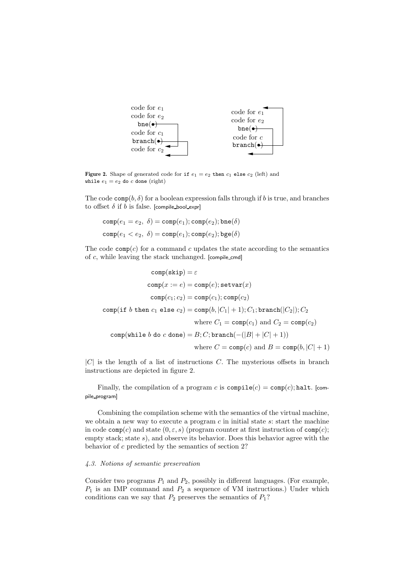

Figure 2. Shape of generated code for if  $e_1 = e_2$  then  $c_1$  else  $c_2$  (left) and while  $e_1 = e_2$  do c done (right)

The code  $\text{comp}(b, \delta)$  for a boolean expression falls through if b is true, and branches to offset  $\delta$  if  $b$  is false. [compile bool expr]

$$
comp(e_1 = e_2, \delta) = comp(e_1); comp(e_2); bne(\delta)
$$

$$
comp(e_1 < e_2, \delta) = comp(e_1); comp(e_2); bge(\delta)
$$

The code  $\text{comp}(c)$  for a command c updates the state according to the semantics of c, while leaving the stack unchanged. [compile cmd]

$$
\text{comp}(\texttt{skip}) = \varepsilon
$$
\n
$$
\text{comp}(x := e) = \text{comp}(e); \text{setvar}(x)
$$
\n
$$
\text{comp}(c_1; c_2) = \text{comp}(c_1); \text{comp}(c_2)
$$
\n
$$
\text{comp}(\text{if } b \text{ then } c_1 \text{ else } c_2) = \text{comp}(b, |C_1| + 1); C_1; \text{branch}(|C_2|); C_2
$$
\n
$$
\text{where } C_1 = \text{comp}(c_1) \text{ and } C_2 = \text{comp}(c_2)
$$
\n
$$
\text{comp}(\text{while } b \text{ do } c \text{ done}) = B; C; \text{branch}(-(|B| + |C| + 1))
$$
\n
$$
\text{where } C = \text{comp}(c) \text{ and } B = \text{comp}(b, |C| + 1)
$$

 $|C|$  is the length of a list of instructions C. The mysterious offsets in branch instructions are depicted in figure 2.

Finally, the compilation of a program c is  $\text{compile}(c) = \text{comp}(c)$ ; halt. [compile program]

Combining the compilation scheme with the semantics of the virtual machine, we obtain a new way to execute a program  $c$  in initial state  $s$ : start the machine in code  $\texttt{comp}(c)$  and state  $(0, \varepsilon, s)$  (program counter at first instruction of  $\texttt{comp}(c)$ ; empty stack; state s), and observe its behavior. Does this behavior agree with the behavior of c predicted by the semantics of section 2?

## *4.3. Notions of semantic preservation*

Consider two programs  $P_1$  and  $P_2$ , possibly in different languages. (For example,  $P_1$  is an IMP command and  $P_2$  a sequence of VM instructions.) Under which conditions can we say that  $P_2$  preserves the semantics of  $P_1$ ?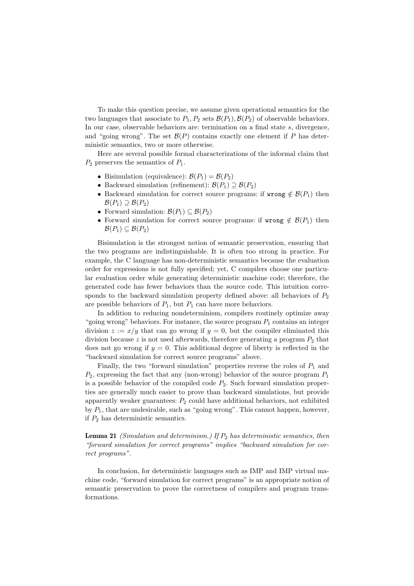To make this question precise, we assume given operational semantics for the two languages that associate to  $P_1, P_2$  sets  $\mathcal{B}(P_1), \mathcal{B}(P_2)$  of observable behaviors. In our case, observable behaviors are: termination on a final state s, divergence, and "going wrong". The set  $\mathcal{B}(P)$  contains exactly one element if P has deterministic semantics, two or more otherwise.

Here are several possible formal characterizations of the informal claim that  $P_2$  preserves the semantics of  $P_1$ .

- Bisimulation (equivalence):  $\mathcal{B}(P_1) = \mathcal{B}(P_2)$
- Backward simulation (refinement):  $\mathcal{B}(P_1) \supseteq \mathcal{B}(P_2)$
- Backward simulation for correct source programs: if wrong  $\notin \mathcal{B}(P_1)$  then  $\mathcal{B}(P_1) \supseteq \mathcal{B}(P_2)$
- Forward simulation:  $\mathcal{B}(P_1) \subseteq \mathcal{B}(P_2)$
- Forward simulation for correct source programs: if wrong  $\notin \mathcal{B}(P_1)$  then  $\mathcal{B}(P_1) \subseteq \mathcal{B}(P_2)$

Bisimulation is the strongest notion of semantic preservation, ensuring that the two programs are indistinguishable. It is often too strong in practice. For example, the C language has non-deterministic semantics because the evaluation order for expressions is not fully specified; yet, C compilers choose one particular evaluation order while generating deterministic machine code; therefore, the generated code has fewer behaviors than the source code. This intuition corresponds to the backward simulation property defined above: all behaviors of  $P_2$ are possible behaviors of  $P_1$ , but  $P_1$  can have more behaviors.

In addition to reducing nondeterminism, compilers routinely optimize away "going wrong" behaviors. For instance, the source program  $P_1$  contains an integer division  $z := x/y$  that can go wrong if  $y = 0$ , but the compiler eliminated this division because z is not used afterwards, therefore generating a program  $P_2$  that does not go wrong if  $y = 0$ . This additional degree of liberty is reflected in the "backward simulation for correct source programs" above.

Finally, the two "forward simulation" properties reverse the roles of  $P_1$  and  $P_2$ , expressing the fact that any (non-wrong) behavior of the source program  $P_1$ is a possible behavior of the compiled code  $P_2$ . Such forward simulation properties are generally much easier to prove than backward simulations, but provide apparently weaker guarantees:  $P_2$  could have additional behaviors, not exhibited by  $P_1$ , that are undesirable, such as "going wrong". This cannot happen, however, if  $P_2$  has deterministic semantics.

Lemma 21 *(Simulation and determinism.)* If  $P_2$  *has deterministic semantics, then "forward simulation for correct programs" implies "backward simulation for correct programs".*

In conclusion, for deterministic languages such as IMP and IMP virtual machine code, "forward simulation for correct programs" is an appropriate notion of semantic preservation to prove the correctness of compilers and program transformations.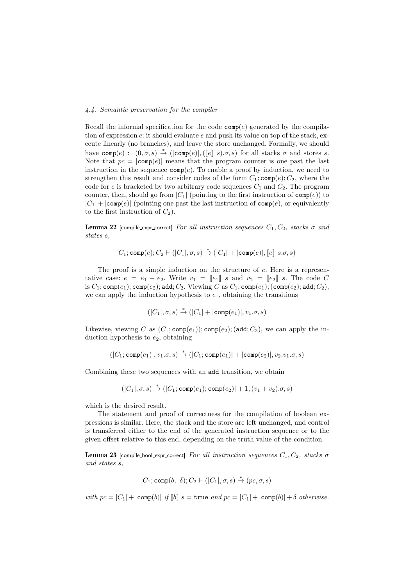# *4.4. Semantic preservation for the compiler*

Recall the informal specification for the code  $\text{comp}(e)$  generated by the compilation of expression  $e$ : it should evaluate  $e$  and push its value on top of the stack, execute linearly (no branches), and leave the store unchanged. Formally, we should have comp(e):  $(0, \sigma, s) \stackrel{*}{\rightarrow} (|\text{comp}(e)|, ([e] \ s). \sigma, s)$  for all stacks  $\sigma$  and stores s. Note that  $pc = |comp(e)|$  means that the program counter is one past the last instruction in the sequence  $\text{comp}(e)$ . To enable a proof by induction, we need to strengthen this result and consider codes of the form  $C_1$ ; comp $(e)$ ;  $C_2$ , where the code for e is bracketed by two arbitrary code sequences  $C_1$  and  $C_2$ . The program counter, then, should go from  $|C_1|$  (pointing to the first instruction of  $comp(e)$ ) to  $|C_1|+|\text{comp}(e)|$  (pointing one past the last instruction of  $\text{comp}(e)$ , or equivalently to the first instruction of  $C_2$ ).

**Lemma 22** [compile\_expr\_correct] *For all instruction sequences*  $C_1, C_2$ *, stacks*  $\sigma$  *and states* s*,*

$$
C_1; \text{comp}(e); C_2 \vdash (|C_1|, \sigma, s) \stackrel{*}{\rightarrow} (|C_1| + |\text{comp}(e)|, [\![e]\!]\;s.\sigma, s)
$$

The proof is a simple induction on the structure of  $e$ . Here is a representative case:  $e = e_1 + e_2$ . Write  $v_1 = [e_1] s$  and  $v_2 = [e_2] s$ . The code C is  $C_1$ ; comp $(e_1)$ ; comp $(e_2)$ ; add;  $C_2$ . Viewing C as  $C_1$ ; comp $(e_1)$ ; (comp $(e_2)$ ; add;  $C_2$ ), we can apply the induction hypothesis to  $e_1$ , obtaining the transitions

$$
(|C_1|, \sigma, s) \stackrel{*}{\rightarrow} (|C_1| + |\text{comp}(e_1)|, v_1. \sigma, s)
$$

Likewise, viewing C as  $(C_1; \text{comp}(e_1))$ ;  $\text{comp}(e_2)$ ; (add;  $C_2$ ), we can apply the induction hypothesis to  $e_2$ , obtaining

$$
(|C_1; \text{comp}(e_1)|, v_1.\sigma, s) \stackrel{*}{\rightarrow} (|C_1; \text{comp}(e_1)| + |\text{comp}(e_2)|, v_2.v_1.\sigma, s)
$$

Combining these two sequences with an add transition, we obtain

$$
(|C_1|, \sigma, s) \stackrel{*}{\rightarrow} (|C_1; \text{comp}(e_1); \text{comp}(e_2)| + 1, (v_1 + v_2), \sigma, s)
$$

which is the desired result.

The statement and proof of correctness for the compilation of boolean expressions is similar. Here, the stack and the store are left unchanged, and control is transferred either to the end of the generated instruction sequence or to the given offset relative to this end, depending on the truth value of the condition.

Lemma 23 [compile bool expr correct] *For all instruction sequences*  $C_1, C_2$ *, stacks*  $\sigma$ *and states* s*,*

$$
C_1; \text{comp}(b, \delta); C_2 \vdash (|C_1|, \sigma, s) \stackrel{*}{\rightarrow} (pc, \sigma, s)
$$

*with*  $pc = |C_1| + |\text{comp}(b)|$  *if*  $[b]$  s = true *and*  $pc = |C_1| + |\text{comp}(b)| + \delta$  *otherwise.*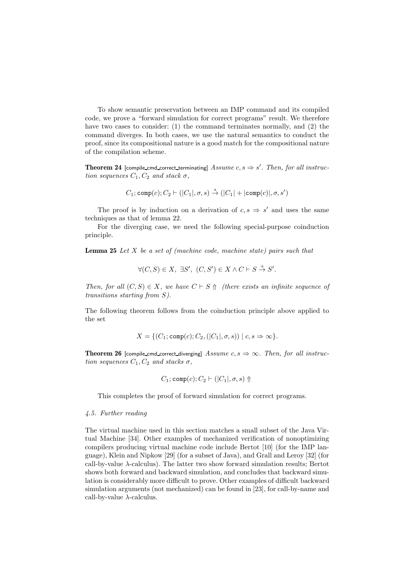To show semantic preservation between an IMP command and its compiled code, we prove a "forward simulation for correct programs" result. We therefore have two cases to consider: (1) the command terminates normally, and (2) the command diverges. In both cases, we use the natural semantics to conduct the proof, since its compositional nature is a good match for the compositional nature of the compilation scheme.

**Theorem 24** [compile\_cmd\_correct\_terminating]  $Assume \ c, s \Rightarrow s'$ . Then, for all instruc*tion sequences*  $C_1$ ,  $C_2$  *and stack*  $\sigma$ ,

$$
C_1; \text{comp}(c); C_2 \vdash (|C_1|, \sigma, s) \stackrel{*}{\rightarrow} (|C_1| + |\text{comp}(c)|, \sigma, s')
$$

The proof is by induction on a derivation of  $c, s \Rightarrow s'$  and uses the same techniques as that of lemma 22.

For the diverging case, we need the following special-purpose coinduction principle.

Lemma 25 *Let* X *be a set of (machine code, machine state) pairs such that*

$$
\forall (C, S) \in X, \exists S', (C, S') \in X \land C \vdash S \stackrel{+}{\rightarrow} S'.
$$

*Then, for all*  $(C, S) \in X$ *, we have*  $C \vdash S \uparrow \uparrow$  *(there exists an infinite sequence of transitions starting from* S*).*

The following theorem follows from the coinduction principle above applied to the set

$$
X = \{ (C_1; \text{comp}(c); C_2, (|C_1|, \sigma, s)) \mid c, s \Rightarrow \infty \}.
$$

**Theorem 26** [compile\_cmd\_correct\_diverging]  $Assume \, c, s \Rightarrow \infty$ . Then, for all instruc*tion sequences*  $C_1$ ,  $C_2$  *and stacks*  $\sigma$ ,

$$
C_1; \mathtt{comp}(c); C_2 \vdash (|C_1|, \sigma, s) \Uparrow
$$

This completes the proof of forward simulation for correct programs.

#### *4.5. Further reading*

The virtual machine used in this section matches a small subset of the Java Virtual Machine [34]. Other examples of mechanized verification of nonoptimizing compilers producing virtual machine code include Bertot [10] (for the IMP language), Klein and Nipkow [29] (for a subset of Java), and Grall and Leroy [32] (for call-by-value  $\lambda$ -calculus). The latter two show forward simulation results; Bertot shows both forward and backward simulation, and concludes that backward simulation is considerably more difficult to prove. Other examples of difficult backward simulation arguments (not mechanized) can be found in [23], for call-by-name and call-by-value  $\lambda$ -calculus.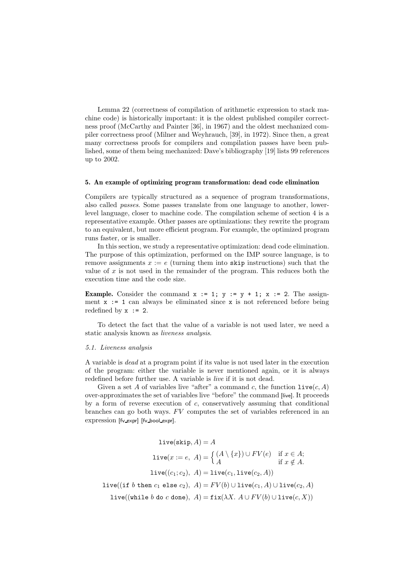Lemma 22 (correctness of compilation of arithmetic expression to stack machine code) is historically important: it is the oldest published compiler correctness proof (McCarthy and Painter [36], in 1967) and the oldest mechanized compiler correctness proof (Milner and Weyhrauch, [39], in 1972). Since then, a great many correctness proofs for compilers and compilation passes have been published, some of them being mechanized: Dave's bibliography [19] lists 99 references up to 2002.

#### 5. An example of optimizing program transformation: dead code elimination

Compilers are typically structured as a sequence of program transformations, also called *passes*. Some passes translate from one language to another, lowerlevel language, closer to machine code. The compilation scheme of section 4 is a representative example. Other passes are optimizations: they rewrite the program to an equivalent, but more efficient program. For example, the optimized program runs faster, or is smaller.

In this section, we study a representative optimization: dead code elimination. The purpose of this optimization, performed on the IMP source language, is to remove assignments  $x := e$  (turning them into skip instructions) such that the value of  $x$  is not used in the remainder of the program. This reduces both the execution time and the code size.

**Example.** Consider the command  $x := 1$ ;  $y := y + 1$ ;  $x := 2$ . The assignment  $x := 1$  can always be eliminated since x is not referenced before being redefined by  $x := 2$ .

To detect the fact that the value of a variable is not used later, we need a static analysis known as *liveness analysis*.

#### *5.1. Liveness analysis*

A variable is *dead* at a program point if its value is not used later in the execution of the program: either the variable is never mentioned again, or it is always redefined before further use. A variable is *live* if it is not dead.

Given a set A of variables live "after" a command c, the function  $\text{live}(c, A)$ over-approximates the set of variables live "before" the command [live]. It proceeds by a form of reverse execution of  $c$ , conservatively assuming that conditional branches can go both ways.  $F<sup>V</sup>$  computes the set of variables referenced in an expression [fv\_expr] [fv\_bool\_expr].

$$
\text{live}(\texttt{skip}, A) = A
$$
\n
$$
\texttt{live}(x := e, A) = \left\{ \begin{aligned} & (A \setminus \{x\}) \cup FV(e) & \text{if } x \in A; \\ & \text{if } x \notin A. \end{aligned} \right.
$$
\n
$$
\texttt{live}((c_1; c_2), A) = \texttt{live}(c_1, \texttt{live}(c_2, A))
$$
\n
$$
\texttt{live}((\texttt{if } b \texttt{ then } c_1 \texttt{ else } c_2), A) = FV(b) \cup \texttt{live}(c_1, A) \cup \texttt{live}(c_2, A)
$$
\n
$$
\texttt{live}((\texttt{while } b \texttt{ do } c \texttt{ done}), A) = \texttt{fix}(\lambda X. A \cup FV(b) \cup \texttt{live}(c, X))
$$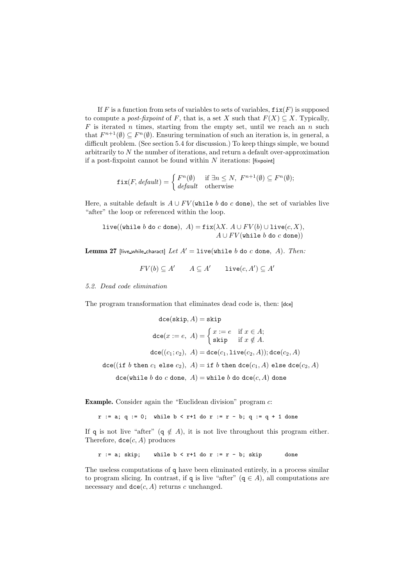If F is a function from sets of variables to sets of variables,  $fix(F)$  is supposed to compute a *post-fixpoint* of F, that is, a set X such that  $F(X) \subseteq X$ . Typically,  $F$  is iterated n times, starting from the empty set, until we reach an n such that  $F^{n+1}(\emptyset) \subseteq F^{n}(\emptyset)$ . Ensuring termination of such an iteration is, in general, a difficult problem. (See section 5.4 for discussion.) To keep things simple, we bound arbitrarily to N the number of iterations, and return a default over-approximation if a post-fixpoint cannot be found within  $N$  iterations: [fixpoint]

$$
\text{fix}(F, default) = \begin{cases} F^n(\emptyset) & \text{if } \exists n \le N, \ F^{n+1}(\emptyset) \subseteq F^n(\emptyset); \\ default & \text{otherwise} \end{cases}
$$

Here, a suitable default is  $A \cup FV$  (while b do c done), the set of variables live "after" the loop or referenced within the loop.

$$
\text{live}((\texttt{while }b\texttt{ do }c\texttt{ done}),\ A) = \texttt{fix}(\lambda X.\ A \cup FV(b) \cup \texttt{live}(c,X),\ A \cup FV(\texttt{while }b\texttt{ do }c\texttt{ done}))
$$

**Lemma 27** [live while charact] Let  $A' = \text{live}(\text{while } b \text{ do } c \text{ done}, A)$ *. Then:* 

 $FV(b) \subseteq A'$   $A \subseteq A'$  live $(c, A') \subseteq A'$ 

*5.2. Dead code elimination*

The program transformation that eliminates dead code is, then: [dce]

$$
\begin{aligned}\n\text{dce}(\text{skip},A)&=\text{skip}\\ \text{dce}(x:=e,\ A)&=\begin{cases} x:=e & \text{if }x\in A;\\ \text{skip} & \text{if }x\notin A.\end{cases} \\
\text{dce}((c_1;c_2),\ A)&=\text{dce}(c_1,\text{live}(c_2,A));\text{dce}(c_2,A) \\
\text{dce}((\text{if }b\ \text{then }c_1\ \text{else }c_2),\ A)&=\text{if }b\ \text{then }\text{dce}(c_1,A)\ \text{else }\text{dce}(c_2,A) \\
\text{dce}(\text{while }b\ \text{do }c\ \text{done},\ A)&=\text{while }b\ \text{do }\text{dce}(c,A)\ \text{done}\n\end{aligned}
$$

Example. Consider again the "Euclidean division" program c:

 $r := a$ ; q := 0; while  $b < r+1$  do  $r := r - b$ ; q := q + 1 done

If q is not live "after" (q  $\notin A$ ), it is not live throughout this program either. Therefore,  $\texttt{dce}(c, A)$  produces

```
r := a; skip; while b < r+1 do r := r - b; skip done
```
The useless computations of q have been eliminated entirely, in a process similar to program slicing. In contrast, if q is live "after" ( $q \in A$ ), all computations are necessary and  $\text{dce}(c, A)$  returns c unchanged.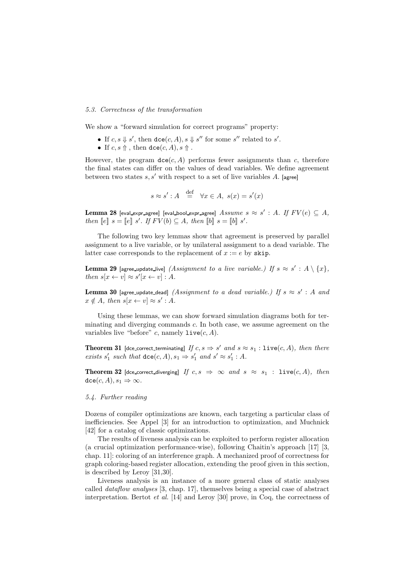# *5.3. Correctness of the transformation*

We show a "forward simulation for correct programs" property:

- If  $c, s \nightharpoonup s'$ , then  $\text{dce}(c, A), s \nightharpoonup s''$  for some s'' related to s'.
- If  $c, s \uparrow$ , then  $\text{dce}(c, A), s \uparrow$ .

However, the program  $\text{dce}(c, A)$  performs fewer assignments than c, therefore the final states can differ on the values of dead variables. We define agreement between two states  $s, s'$  with respect to a set of live variables A. [agree]

$$
s \approx s' : A \stackrel{\text{def}}{=} \forall x \in A, \ s(x) = s'(x)
$$

 ${\bf Lemma~28}$  [eval\_expr\_agree] [eval\_bool\_expr\_agree]  $\textit{Assume} \ \textit{s} \approx \textit{s}' : A. \ \textit{If} \ \textit{FV}(e) \subseteq A,$ *then*  $[ e ] \, s = [e ] \, s'$ *. If*  $FV(b) \subseteq A$ *, then*  $[ b ] \, s = [b] \, s'$ *.* 

The following two key lemmas show that agreement is preserved by parallel assignment to a live variable, or by unilateral assignment to a dead variable. The latter case corresponds to the replacement of  $x := e$  by skip.

**Lemma 29** [agree\_update\_live] *(Assignment to a live variable.) If*  $s \approx s' : A \setminus \{x\}$ *, then*  $s[x \leftarrow v] \approx s'[x \leftarrow v] : A$ .

**Lemma 30** [agree\_update\_dead]  $(Assignment\ to\ a\ dead\ variable.)$  If  $s \approx s' : A\ and$  $x \notin A$ *, then*  $s[x \leftarrow v] \approx s' : A$ *.* 

Using these lemmas, we can show forward simulation diagrams both for terminating and diverging commands c. In both case, we assume agreement on the variables live "before" c, namely  $\text{live}(c, A)$ .

**Theorem 31** [dce\_correct\_terminating]  $If c, s \Rightarrow s'$  and  $s \approx s_1 : \text{live}(c, A),$  then there *exists*  $s'_1$  *such that*  $\text{dce}(c, A), s_1 \Rightarrow s'_1$  *and*  $s' \approx s'_1 : A$ *.* 

**Theorem 32** [dce correct diverging] *If*  $c, s \Rightarrow \infty$  *and*  $s \approx s_1$  : live(*c*, *A*)*, then*  $\text{dce}(c, A), s_1 \Rightarrow \infty$ .

### *5.4. Further reading*

Dozens of compiler optimizations are known, each targeting a particular class of inefficiencies. See Appel [3] for an introduction to optimization, and Muchnick [42] for a catalog of classic optimizations.

The results of liveness analysis can be exploited to perform register allocation (a crucial optimization performance-wise), following Chaitin's approach [17] [3, chap. 11]: coloring of an interference graph. A mechanized proof of correctness for graph coloring-based register allocation, extending the proof given in this section, is described by Leroy [31,30].

Liveness analysis is an instance of a more general class of static analyses called *dataflow analyses* [3, chap. 17], themselves being a special case of abstract interpretation. Bertot *et al.* [14] and Leroy [30] prove, in Coq, the correctness of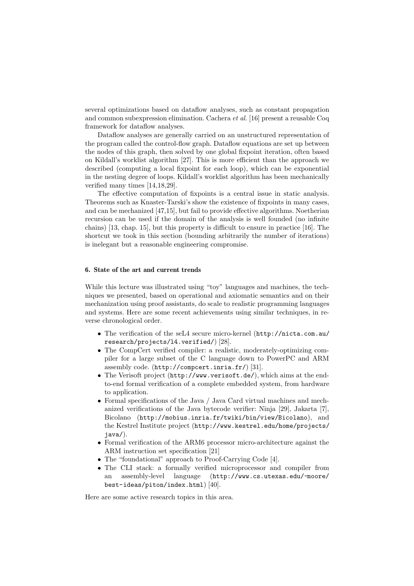several optimizations based on dataflow analyses, such as constant propagation and common subexpression elimination. Cachera *et al.* [16] present a reusable Coq framework for dataflow analyses.

Dataflow analyses are generally carried on an unstructured representation of the program called the control-flow graph. Dataflow equations are set up between the nodes of this graph, then solved by one global fixpoint iteration, often based on Kildall's worklist algorithm [27]. This is more efficient than the approach we described (computing a local fixpoint for each loop), which can be exponential in the nesting degree of loops. Kildall's worklist algorithm has been mechanically verified many times [14,18,29].

The effective computation of fixpoints is a central issue in static analysis. Theorems such as Knaster-Tarski's show the existence of fixpoints in many cases, and can be mechanized [47,15], but fail to provide effective algorithms. Noetherian recursion can be used if the domain of the analysis is well founded (no infinite chains) [13, chap. 15], but this property is difficult to ensure in practice [16]. The shortcut we took in this section (bounding arbitrarily the number of iterations) is inelegant but a reasonable engineering compromise.

# 6. State of the art and current trends

While this lecture was illustrated using "toy" languages and machines, the techniques we presented, based on operational and axiomatic semantics and on their mechanization using proof assistants, do scale to realistic programming languages and systems. Here are some recent achievements using similar techniques, in reverse chronological order.

- The verification of the seL4 secure micro-kernel (http://nicta.com.au/ research/projects/l4.verified/) [28].
- The CompCert verified compiler: a realistic, moderately-optimizing compiler for a large subset of the C language down to PowerPC and ARM assembly code. (http://compcert.inria.fr/) [31].
- The Verisoft project (http://www.verisoft.de/), which aims at the endto-end formal verification of a complete embedded system, from hardware to application.
- Formal specifications of the Java / Java Card virtual machines and mechanized verifications of the Java bytecode verifier: Ninja [29], Jakarta [7], Bicolano (http://mobius.inria.fr/twiki/bin/view/Bicolano), and the Kestrel Institute project (http://www.kestrel.edu/home/projects/ java/).
- Formal verification of the ARM6 processor micro-architecture against the ARM instruction set specification [21]
- The "foundational" approach to Proof-Carrying Code [4].
- The CLI stack: a formally verified microprocessor and compiler from an assembly-level language (http://www.cs.utexas.edu/~moore/ best-ideas/piton/index.html) [40].

Here are some active research topics in this area.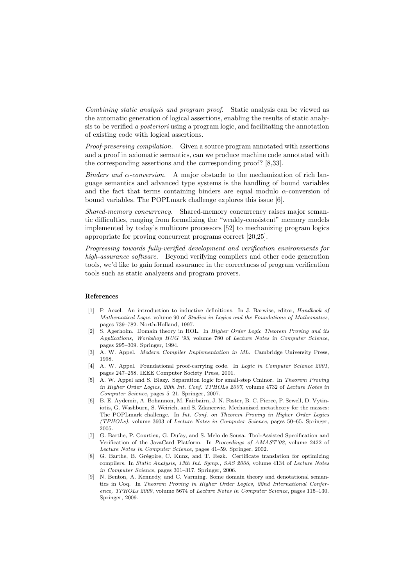*Combining static analysis and program proof.* Static analysis can be viewed as the automatic generation of logical assertions, enabling the results of static analysis to be verified *a posteriori* using a program logic, and facilitating the annotation of existing code with logical assertions.

*Proof-preserving compilation.* Given a source program annotated with assertions and a proof in axiomatic semantics, can we produce machine code annotated with the corresponding assertions and the corresponding proof? [8,33].

*Binders and* α*-conversion.* A major obstacle to the mechanization of rich language semantics and advanced type systems is the handling of bound variables and the fact that terms containing binders are equal modulo  $\alpha$ -conversion of bound variables. The POPLmark challenge explores this issue [6].

*Shared-memory concurrency.* Shared-memory concurrency raises major semantic difficulties, ranging from formalizing the "weakly-consistent" memory models implemented by today's multicore processors [52] to mechanizing program logics appropriate for proving concurrent programs correct [20,25].

*Progressing towards fully-verified development and verification environments for high-assurance software.* Beyond verifying compilers and other code generation tools, we'd like to gain formal assurance in the correctness of program verification tools such as static analyzers and program provers.

### References

- [1] P. Aczel. An introduction to inductive definitions. In J. Barwise, editor, *Handbook of Mathematical Logic*, volume 90 of *Studies in Logics and the Foundations of Mathematics*, pages 739–782. North-Holland, 1997.
- [2] S. Agerholm. Domain theory in HOL. In *Higher Order Logic Theorem Proving and its Applications, Workshop HUG '93*, volume 780 of *Lecture Notes in Computer Science*, pages 295–309. Springer, 1994.
- [3] A. W. Appel. *Modern Compiler Implementation in ML*. Cambridge University Press, 1998.
- [4] A. W. Appel. Foundational proof-carrying code. In *Logic in Computer Science 2001*, pages 247–258. IEEE Computer Society Press, 2001.
- [5] A. W. Appel and S. Blazy. Separation logic for small-step Cminor. In *Theorem Proving in Higher Order Logics, 20th Int. Conf. TPHOLs 2007*, volume 4732 of *Lecture Notes in Computer Science*, pages 5–21. Springer, 2007.
- [6] B. E. Aydemir, A. Bohannon, M. Fairbairn, J. N. Foster, B. C. Pierce, P. Sewell, D. Vytiniotis, G. Washburn, S. Weirich, and S. Zdancewic. Mechanized metatheory for the masses: The POPLmark challenge. In *Int. Conf. on Theorem Proving in Higher Order Logics (TPHOLs)*, volume 3603 of *Lecture Notes in Computer Science*, pages 50–65. Springer, 2005.
- [7] G. Barthe, P. Courtieu, G. Dufay, and S. Melo de Sousa. Tool-Assisted Specification and Verification of the JavaCard Platform. In *Proceedings of AMAST'02*, volume 2422 of *Lecture Notes in Computer Science*, pages 41–59. Springer, 2002.
- [8] G. Barthe, B. Grégoire, C. Kunz, and T. Rezk. Certificate translation for optimizing compilers. In *Static Analysis, 13th Int. Symp., SAS 2006*, volume 4134 of *Lecture Notes in Computer Science*, pages 301–317. Springer, 2006.
- [9] N. Benton, A. Kennedy, and C. Varming. Some domain theory and denotational semantics in Coq. In *Theorem Proving in Higher Order Logics, 22nd International Conference, TPHOLs 2009*, volume 5674 of *Lecture Notes in Computer Science*, pages 115–130. Springer, 2009.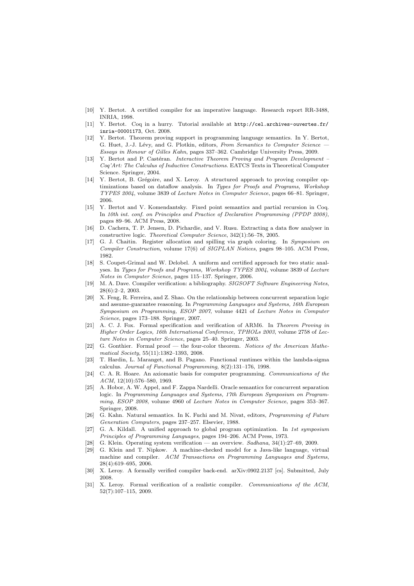- [10] Y. Bertot. A certified compiler for an imperative language. Research report RR-3488, INRIA, 1998.
- [11] Y. Bertot. Coq in a hurry. Tutorial available at http://cel.archives-ouvertes.fr/ inria-00001173, Oct. 2008.
- [12] Y. Bertot. Theorem proving support in programming language semantics. In Y. Bertot, G. Huet, J.-J. Lévy, and G. Plotkin, editors, *From Semantics to Computer Science Essays in Honour of Gilles Kahn*, pages 337–362. Cambridge University Press, 2009.
- [13] Y. Bertot and P. Castéran. *Interactive Theorem Proving and Program Development Coq'Art: The Calculus of Inductive Constructions*. EATCS Texts in Theoretical Computer Science. Springer, 2004.
- [14] Y. Bertot, B. Grégoire, and X. Leroy. A structured approach to proving compiler optimizations based on dataflow analysis. In *Types for Proofs and Programs, Workshop TYPES 2004*, volume 3839 of *Lecture Notes in Computer Science*, pages 66–81. Springer, 2006.
- [15] Y. Bertot and V. Komendantsky. Fixed point semantics and partial recursion in Coq. In *10th int. conf. on Principles and Practice of Declarative Programming (PPDP 2008)*, pages 89–96. ACM Press, 2008.
- [16] D. Cachera, T. P. Jensen, D. Pichardie, and V. Rusu. Extracting a data flow analyser in constructive logic. *Theoretical Computer Science*, 342(1):56–78, 2005.
- [17] G. J. Chaitin. Register allocation and spilling via graph coloring. In *Symposium on Compiler Construction*, volume 17(6) of *SIGPLAN Notices*, pages 98–105. ACM Press, 1982.
- [18] S. Coupet-Grimal and W. Delobel. A uniform and certified approach for two static analyses. In *Types for Proofs and Programs, Workshop TYPES 2004*, volume 3839 of *Lecture Notes in Computer Science*, pages 115–137. Springer, 2006.
- [19] M. A. Dave. Compiler verification: a bibliography. *SIGSOFT Software Engineering Notes*, 28(6):2–2, 2003.
- [20] X. Feng, R. Ferreira, and Z. Shao. On the relationship between concurrent separation logic and assume-guarantee reasoning. In *Programming Languages and Systems, 16th European Symposium on Programming, ESOP 2007*, volume 4421 of *Lecture Notes in Computer Science*, pages 173–188. Springer, 2007.
- [21] A. C. J. Fox. Formal specification and verification of ARM6. In *Theorem Proving in Higher Order Logics, 16th International Conference, TPHOLs 2003*, volume 2758 of *Lecture Notes in Computer Science*, pages 25–40. Springer, 2003.
- [22] G. Gonthier. Formal proof the four-color theorem. *Notices of the American Mathematical Society*, 55(11):1382–1393, 2008.
- [23] T. Hardin, L. Maranget, and B. Pagano. Functional runtimes within the lambda-sigma calculus. *Journal of Functional Programming*, 8(2):131–176, 1998.
- [24] C. A. R. Hoare. An axiomatic basis for computer programming. *Communications of the ACM*, 12(10):576–580, 1969.
- [25] A. Hobor, A. W. Appel, and F. Zappa Nardelli. Oracle semantics for concurrent separation logic. In *Programming Languages and Systems, 17th European Symposium on Programming, ESOP 2008*, volume 4960 of *Lecture Notes in Computer Science*, pages 353–367. Springer, 2008.
- [26] G. Kahn. Natural semantics. In K. Fuchi and M. Nivat, editors, *Programming of Future Generation Computers*, pages 237–257. Elsevier, 1988.
- [27] G. A. Kildall. A unified approach to global program optimization. In *1st symposium Principles of Programming Languages*, pages 194–206. ACM Press, 1973.
- [28] G. Klein. Operating system verification an overview. *Sadhana*, 34(1):27–69, 2009.
- [29] G. Klein and T. Nipkow. A machine-checked model for a Java-like language, virtual machine and compiler. *ACM Transactions on Programming Languages and Systems*, 28(4):619–695, 2006.
- [30] X. Leroy. A formally verified compiler back-end. arXiv:0902.2137 [cs]. Submitted, July 2008.
- [31] X. Leroy. Formal verification of a realistic compiler. *Communications of the ACM*, 52(7):107–115, 2009.